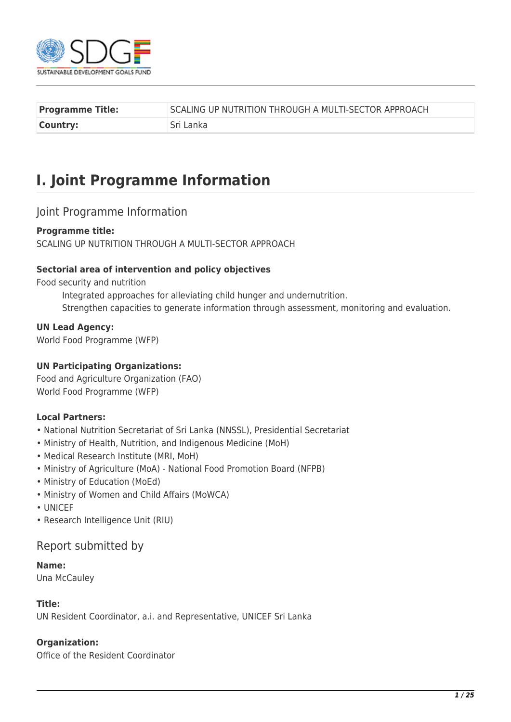

| <b>Programme Title:</b> | SCALING UP NUTRITION THROUGH A MULTI-SECTOR APPROACH |
|-------------------------|------------------------------------------------------|
| Country:                | Sri Lanka                                            |

# **I. Joint Programme Information**

#### Joint Programme Information

#### **Programme title:**

SCALING UP NUTRITION THROUGH A MULTI-SECTOR APPROACH

#### **Sectorial area of intervention and policy objectives**

Food security and nutrition

Integrated approaches for alleviating child hunger and undernutrition. Strengthen capacities to generate information through assessment, monitoring and evaluation.

#### **UN Lead Agency:**

World Food Programme (WFP)

#### **UN Participating Organizations:**

Food and Agriculture Organization (FAO) World Food Programme (WFP)

#### **Local Partners:**

- National Nutrition Secretariat of Sri Lanka (NNSSL), Presidential Secretariat
- Ministry of Health, Nutrition, and Indigenous Medicine (MoH)
- Medical Research Institute (MRI, MoH)
- Ministry of Agriculture (MoA) National Food Promotion Board (NFPB)
- Ministry of Education (MoEd)
- Ministry of Women and Child Affairs (MoWCA)
- UNICEF
- Research Intelligence Unit (RIU)

#### Report submitted by

#### **Name:**

Una McCauley

#### **Title:**

UN Resident Coordinator, a.i. and Representative, UNICEF Sri Lanka

#### **Organization:**

Office of the Resident Coordinator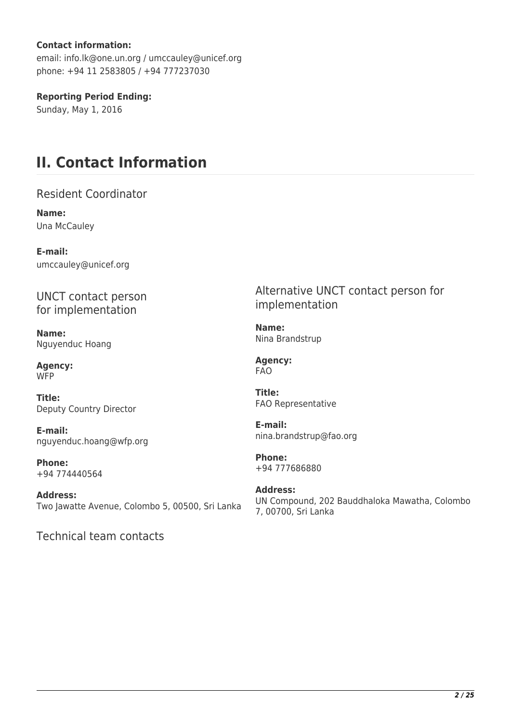#### **Contact information:**

email: info.lk@one.un.org / umccauley@unicef.org phone: +94 11 2583805 / +94 777237030

**Reporting Period Ending:** 

Sunday, May 1, 2016

## **II. Contact Information**

Resident Coordinator

**Name:**  Una McCauley

**E-mail:**  umccauley@unicef.org

UNCT contact person for implementation

**Name:**  Nguyenduc Hoang

**Agency: WFP** 

**Title:**  Deputy Country Director

**E-mail:**  nguyenduc.hoang@wfp.org

**Phone:**  +94 774440564

**Address:**  Two Jawatte Avenue, Colombo 5, 00500, Sri Lanka

Technical team contacts

Alternative UNCT contact person for implementation

**Name:**  Nina Brandstrup

**Agency:**  FAO

**Title:**  FAO Representative

**E-mail:**  nina.brandstrup@fao.org

**Phone:**  +94 777686880

**Address:**  UN Compound, 202 Bauddhaloka Mawatha, Colombo 7, 00700, Sri Lanka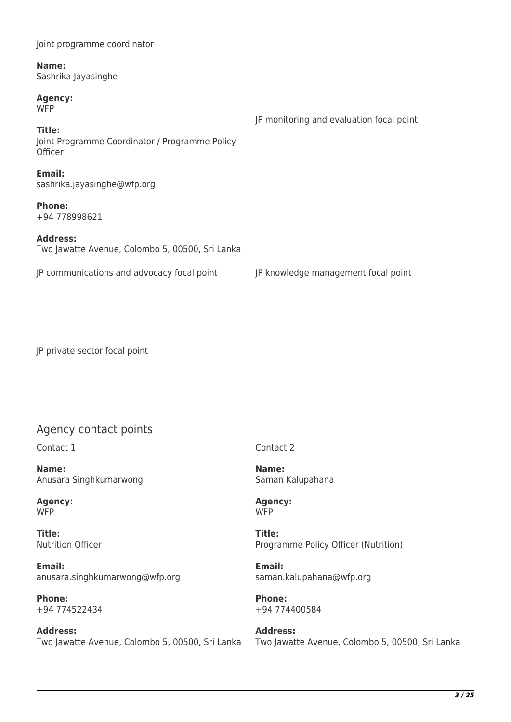| Name:<br>Sashrika Jayasinghe                                        |                                          |
|---------------------------------------------------------------------|------------------------------------------|
| <b>Agency:</b><br><b>WFP</b>                                        | JP monitoring and evaluation focal point |
| Title:<br>Joint Programme Coordinator / Programme Policy<br>Officer |                                          |
| Email:<br>sashrika.jayasinghe@wfp.org                               |                                          |
| <b>Phone:</b><br>+94 778998621                                      |                                          |
| <b>Address:</b><br>Two Jawatte Avenue, Colombo 5, 00500, Sri Lanka  |                                          |
| JP communications and advocacy focal point                          | JP knowledge management focal point      |

JP private sector focal point

Joint programme coordinator

## Agency contact points

Contact 1

**Name:**  Anusara Singhkumarwong

**Agency:**  W<sub>FP</sub>

**Title:**  Nutrition Officer

**Email:**  anusara.singhkumarwong@wfp.org

**Phone:**  +94 774522434

**Address:**  Two Jawatte Avenue, Colombo 5, 00500, Sri Lanka Contact 2

**Name:**  Saman Kalupahana

**Agency: WFP** 

**Title:**  Programme Policy Officer (Nutrition)

**Email:**  saman.kalupahana@wfp.org

**Phone:**  +94 774400584

**Address:**  Two Jawatte Avenue, Colombo 5, 00500, Sri Lanka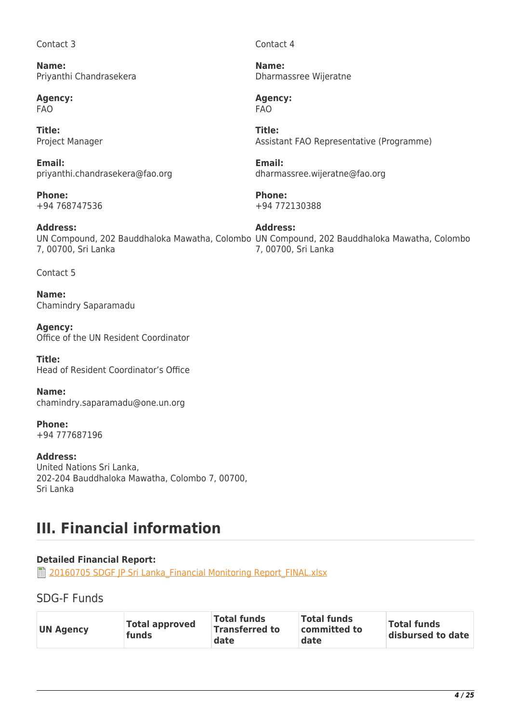#### Contact 3

**Name:**  Priyanthi Chandrasekera

**Agency:**  FAO

**Title:**  Project Manager

**Email:**  priyanthi.chandrasekera@fao.org

**Phone:**  +94 768747536

**Address:**  7, 00700, Sri Lanka

Contact 5

**Name:**  Chamindry Saparamadu

**Agency:**  Office of the UN Resident Coordinator

**Title:**  Head of Resident Coordinator's Office

**Name:**  chamindry.saparamadu@one.un.org

**Phone:**  +94 777687196

**Address:**  United Nations Sri Lanka, 202-204 Bauddhaloka Mawatha, Colombo 7, 00700, Sri Lanka

# **III. Financial information**

#### **Detailed Financial Report:**

**■ 20160705 SDGF IP Sri Lanka Financial Monitoring Report\_FINAL.xlsx** 

SDG-F Funds

| <b>Total approved</b><br><b>UN Agency</b><br>funds | <b>Total funds</b><br><b>Transferred to</b><br>date | <b>Total funds</b><br>committed to<br>date | <b>Total funds</b><br>disbursed to date |
|----------------------------------------------------|-----------------------------------------------------|--------------------------------------------|-----------------------------------------|
|----------------------------------------------------|-----------------------------------------------------|--------------------------------------------|-----------------------------------------|

Contact 4

**Name:**  Dharmassree Wijeratne

**Agency:**  FAO

**Title:**  Assistant FAO Representative (Programme)

**Email:**  dharmassree.wijeratne@fao.org

**Phone:**  +94 772130388

UN Compound, 202 Bauddhaloka Mawatha, Colombo UN Compound, 202 Bauddhaloka Mawatha, Colombo **Address:**  7, 00700, Sri Lanka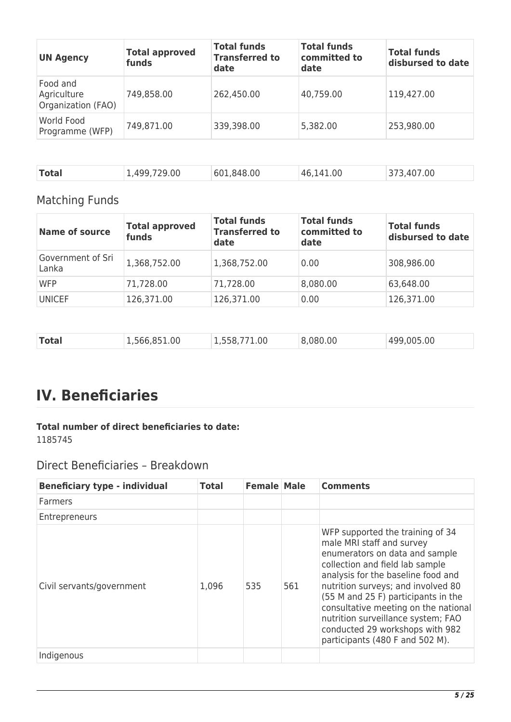| <b>UN Agency</b>                              | <b>Total approved</b><br>funds | <b>Total funds</b><br><b>Transferred to</b><br>date | <b>Total funds</b><br>committed to<br>date | <b>Total funds</b><br>disbursed to date |
|-----------------------------------------------|--------------------------------|-----------------------------------------------------|--------------------------------------------|-----------------------------------------|
| Food and<br>Agriculture<br>Organization (FAO) | 749,858.00                     | 262,450.00                                          | 40,759.00                                  | 119,427.00                              |
| World Food<br>Programme (WFP)                 | 749,871.00                     | 339,398.00                                          | 5,382.00                                   | 253,980.00                              |

| Total<br>601,848.00<br>1,499,729.00<br>373,407.00<br>46,141.00 |
|----------------------------------------------------------------|
|----------------------------------------------------------------|

## Matching Funds

| <b>Name of source</b>      | <b>Total approved</b><br>funds | <b>Total funds</b><br><b>Transferred to</b><br>date | <b>Total funds</b><br>committed to<br>date | <b>Total funds</b><br>disbursed to date |
|----------------------------|--------------------------------|-----------------------------------------------------|--------------------------------------------|-----------------------------------------|
| Government of Sri<br>Lanka | 1,368,752.00                   | 1,368,752.00                                        | 0.00                                       | 308,986.00                              |
| <b>WFP</b>                 | 71,728.00                      | 71,728.00                                           | 8,080.00                                   | 63,648.00                               |
| <b>UNICEF</b>              | 126,371.00                     | 126,371.00                                          | 0.00                                       | 126,371.00                              |

| <b>Total</b> | .,566,851.00 | 1.00<br>. ארה | 8,080.00 | 499,005,00 |
|--------------|--------------|---------------|----------|------------|
|              |              |               |          |            |

# **IV. Beneficiaries**

## **Total number of direct beneficiaries to date:**

1185745

## Direct Beneficiaries – Breakdown

| <b>Beneficiary type - individual</b> | <b>Total</b> | <b>Female Male</b> |     | <b>Comments</b>                                                                                                                                                                                                                                                                                                                                                                                           |
|--------------------------------------|--------------|--------------------|-----|-----------------------------------------------------------------------------------------------------------------------------------------------------------------------------------------------------------------------------------------------------------------------------------------------------------------------------------------------------------------------------------------------------------|
| <b>Farmers</b>                       |              |                    |     |                                                                                                                                                                                                                                                                                                                                                                                                           |
| Entrepreneurs                        |              |                    |     |                                                                                                                                                                                                                                                                                                                                                                                                           |
| Civil servants/government            | 1,096        | 535                | 561 | WFP supported the training of 34<br>male MRI staff and survey<br>enumerators on data and sample<br>collection and field lab sample<br>analysis for the baseline food and<br>nutrition surveys; and involved 80<br>(55 M and 25 F) participants in the<br>consultative meeting on the national<br>nutrition surveillance system; FAO<br>conducted 29 workshops with 982<br>participants (480 F and 502 M). |
| Indigenous                           |              |                    |     |                                                                                                                                                                                                                                                                                                                                                                                                           |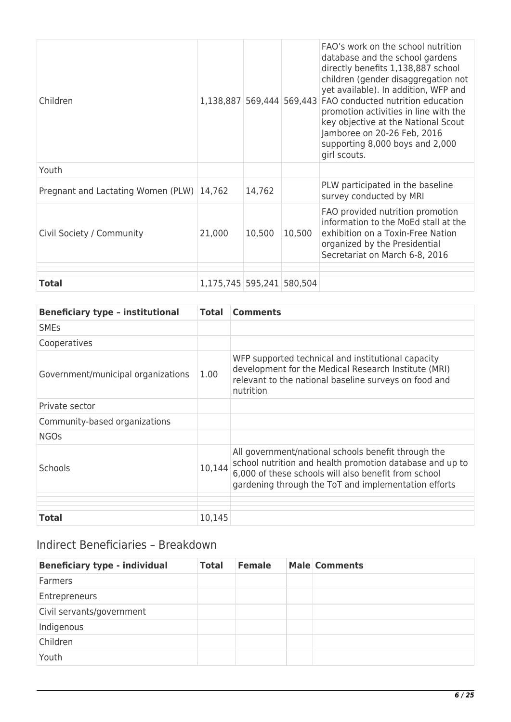| Children                                  | 1,138,887 569,444 569,443 |        |        | FAO's work on the school nutrition<br>database and the school gardens<br>directly benefits 1,138,887 school<br>children (gender disaggregation not<br>yet available). In addition, WFP and<br>FAO conducted nutrition education<br>promotion activities in line with the<br>key objective at the National Scout<br>Jamboree on 20-26 Feb, 2016<br>supporting 8,000 boys and 2,000<br>girl scouts. |
|-------------------------------------------|---------------------------|--------|--------|---------------------------------------------------------------------------------------------------------------------------------------------------------------------------------------------------------------------------------------------------------------------------------------------------------------------------------------------------------------------------------------------------|
| Youth                                     |                           |        |        |                                                                                                                                                                                                                                                                                                                                                                                                   |
| Pregnant and Lactating Women (PLW) 14,762 |                           | 14,762 |        | PLW participated in the baseline<br>survey conducted by MRI                                                                                                                                                                                                                                                                                                                                       |
| Civil Society / Community                 | 21,000                    | 10,500 | 10,500 | FAO provided nutrition promotion<br>information to the MoEd stall at the<br>exhibition on a Toxin-Free Nation<br>organized by the Presidential<br>Secretariat on March 6-8, 2016                                                                                                                                                                                                                  |
|                                           |                           |        |        |                                                                                                                                                                                                                                                                                                                                                                                                   |
| <b>Total</b>                              | 1,175,745 595,241 580,504 |        |        |                                                                                                                                                                                                                                                                                                                                                                                                   |

| <b>Beneficiary type - institutional</b> | <b>Total</b> | <b>Comments</b>                                                                                                                                                                                                                 |
|-----------------------------------------|--------------|---------------------------------------------------------------------------------------------------------------------------------------------------------------------------------------------------------------------------------|
| <b>SME<sub>S</sub></b>                  |              |                                                                                                                                                                                                                                 |
| Cooperatives                            |              |                                                                                                                                                                                                                                 |
| Government/municipal organizations      | 1.00         | WFP supported technical and institutional capacity<br>development for the Medical Research Institute (MRI)<br>relevant to the national baseline surveys on food and<br>nutrition                                                |
| Private sector                          |              |                                                                                                                                                                                                                                 |
| Community-based organizations           |              |                                                                                                                                                                                                                                 |
| <b>NGOs</b>                             |              |                                                                                                                                                                                                                                 |
| <b>Schools</b>                          | 10,144       | All government/national schools benefit through the<br>school nutrition and health promotion database and up to<br>6,000 of these schools will also benefit from school<br>gardening through the ToT and implementation efforts |
|                                         |              |                                                                                                                                                                                                                                 |
| <b>Total</b>                            | 10,145       |                                                                                                                                                                                                                                 |

## Indirect Beneficiaries – Breakdown

| <b>Beneficiary type - individual</b> | <b>Total</b> | <b>Female</b> | <b>Male Comments</b> |
|--------------------------------------|--------------|---------------|----------------------|
| Farmers                              |              |               |                      |
| Entrepreneurs                        |              |               |                      |
| Civil servants/government            |              |               |                      |
| Indigenous                           |              |               |                      |
| Children                             |              |               |                      |
| Youth                                |              |               |                      |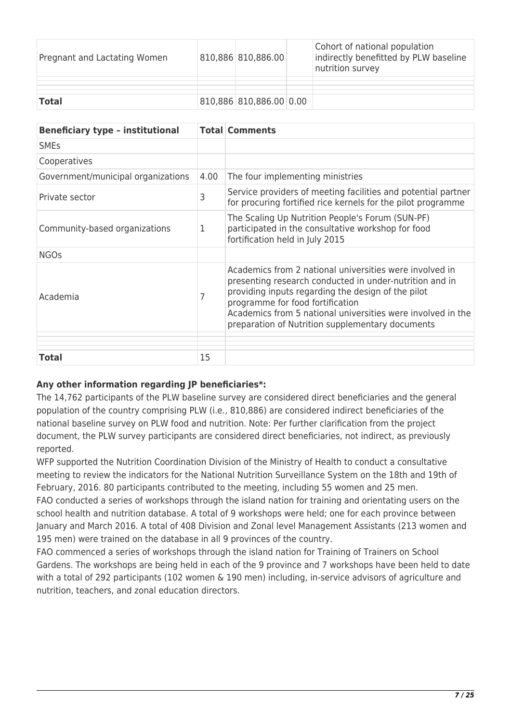| Pregnant and Lactating Women | 810,886 810,886.00      | Cohort of national population<br>indirectly benefitted by PLW baseline<br>nutrition survey |
|------------------------------|-------------------------|--------------------------------------------------------------------------------------------|
|                              |                         |                                                                                            |
| <b>Total</b>                 | 810,886 810,886.00 0.00 |                                                                                            |

| <b>Beneficiary type - institutional</b> |      | <b>Total Comments</b>                                                                                                                                                                                                                                                                                                           |
|-----------------------------------------|------|---------------------------------------------------------------------------------------------------------------------------------------------------------------------------------------------------------------------------------------------------------------------------------------------------------------------------------|
| <b>SMEs</b>                             |      |                                                                                                                                                                                                                                                                                                                                 |
| Cooperatives                            |      |                                                                                                                                                                                                                                                                                                                                 |
| Government/municipal organizations      | 4.00 | The four implementing ministries                                                                                                                                                                                                                                                                                                |
| Private sector                          | 3    | Service providers of meeting facilities and potential partner<br>for procuring fortified rice kernels for the pilot programme                                                                                                                                                                                                   |
| Community-based organizations           | 1    | The Scaling Up Nutrition People's Forum (SUN-PF)<br>participated in the consultative workshop for food<br>fortification held in July 2015                                                                                                                                                                                       |
| <b>NGOs</b>                             |      |                                                                                                                                                                                                                                                                                                                                 |
| Academia                                |      | Academics from 2 national universities were involved in<br>presenting research conducted in under-nutrition and in<br>providing inputs regarding the design of the pilot<br>programme for food fortification<br>Academics from 5 national universities were involved in the<br>preparation of Nutrition supplementary documents |
|                                         |      |                                                                                                                                                                                                                                                                                                                                 |
| <b>Total</b>                            | 15   |                                                                                                                                                                                                                                                                                                                                 |

#### **Any other information regarding JP beneficiaries\*:**

The 14,762 participants of the PLW baseline survey are considered direct beneficiaries and the general population of the country comprising PLW (i.e., 810,886) are considered indirect beneficiaries of the national baseline survey on PLW food and nutrition. Note: Per further clarification from the project document, the PLW survey participants are considered direct beneficiaries, not indirect, as previously reported.

WFP supported the Nutrition Coordination Division of the Ministry of Health to conduct a consultative meeting to review the indicators for the National Nutrition Surveillance System on the 18th and 19th of February, 2016. 80 participants contributed to the meeting, including 55 women and 25 men. FAO conducted a series of workshops through the island nation for training and orientating users on the school health and nutrition database. A total of 9 workshops were held; one for each province between January and March 2016. A total of 408 Division and Zonal level Management Assistants (213 women and 195 men) were trained on the database in all 9 provinces of the country.

FAO commenced a series of workshops through the island nation for Training of Trainers on School Gardens. The workshops are being held in each of the 9 province and 7 workshops have been held to date with a total of 292 participants (102 women & 190 men) including, in-service advisors of agriculture and nutrition, teachers, and zonal education directors.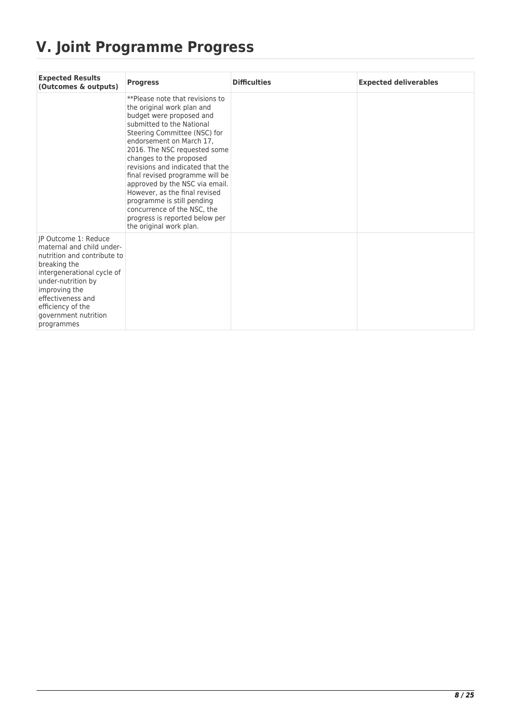# **V. Joint Programme Progress**

| <b>Expected Results</b><br>(Outcomes & outputs)                                                                                                                                                                                                       | <b>Progress</b>                                                                                                                                                                                                                                                                                                                                                                                                                                                                                                   | <b>Difficulties</b> | <b>Expected deliverables</b> |
|-------------------------------------------------------------------------------------------------------------------------------------------------------------------------------------------------------------------------------------------------------|-------------------------------------------------------------------------------------------------------------------------------------------------------------------------------------------------------------------------------------------------------------------------------------------------------------------------------------------------------------------------------------------------------------------------------------------------------------------------------------------------------------------|---------------------|------------------------------|
|                                                                                                                                                                                                                                                       | **Please note that revisions to<br>the original work plan and<br>budget were proposed and<br>submitted to the National<br>Steering Committee (NSC) for<br>endorsement on March 17.<br>2016. The NSC requested some<br>changes to the proposed<br>revisions and indicated that the<br>final revised programme will be<br>approved by the NSC via email.<br>However, as the final revised<br>programme is still pending<br>concurrence of the NSC, the<br>progress is reported below per<br>the original work plan. |                     |                              |
| IP Outcome 1: Reduce<br>maternal and child under-<br>nutrition and contribute to<br>breaking the<br>intergenerational cycle of<br>under-nutrition by<br>improving the<br>effectiveness and<br>efficiency of the<br>government nutrition<br>programmes |                                                                                                                                                                                                                                                                                                                                                                                                                                                                                                                   |                     |                              |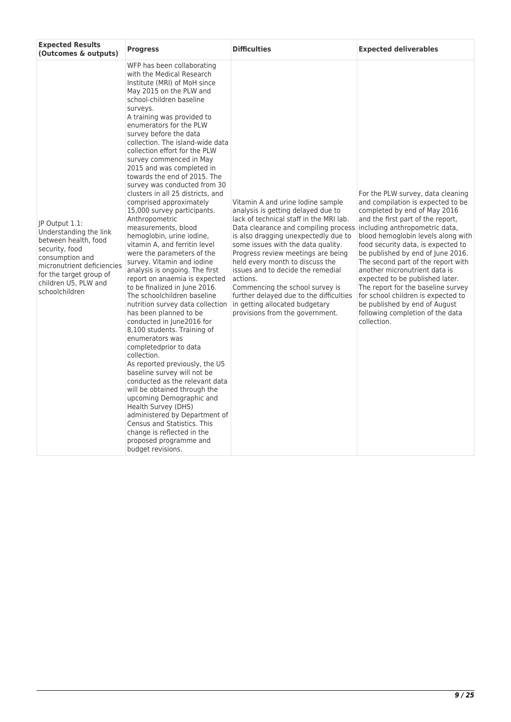| <b>Expected Results</b><br>(Outcomes & outputs)                                                                                                                                                          | <b>Progress</b>                                                                                                                                                                                                                                                                                                                                                                                                                                                                                                                                                                                                                                                                                                                                                                                                                                                                                                                                                                                                                                                                                                                                                                                                                                                                                                                                                                 | <b>Difficulties</b>                                                                                                                                                                                                                                                                                                                                                                                                                                                                                                                                  | <b>Expected deliverables</b>                                                                                                                                                                                                                                                                                                                                                                                                                                                                                                           |
|----------------------------------------------------------------------------------------------------------------------------------------------------------------------------------------------------------|---------------------------------------------------------------------------------------------------------------------------------------------------------------------------------------------------------------------------------------------------------------------------------------------------------------------------------------------------------------------------------------------------------------------------------------------------------------------------------------------------------------------------------------------------------------------------------------------------------------------------------------------------------------------------------------------------------------------------------------------------------------------------------------------------------------------------------------------------------------------------------------------------------------------------------------------------------------------------------------------------------------------------------------------------------------------------------------------------------------------------------------------------------------------------------------------------------------------------------------------------------------------------------------------------------------------------------------------------------------------------------|------------------------------------------------------------------------------------------------------------------------------------------------------------------------------------------------------------------------------------------------------------------------------------------------------------------------------------------------------------------------------------------------------------------------------------------------------------------------------------------------------------------------------------------------------|----------------------------------------------------------------------------------------------------------------------------------------------------------------------------------------------------------------------------------------------------------------------------------------------------------------------------------------------------------------------------------------------------------------------------------------------------------------------------------------------------------------------------------------|
| IP Output 1.1:<br>Understanding the link<br>between health, food<br>security, food<br>consumption and<br>micronutrient deficiencies<br>for the target group of<br>children U5, PLW and<br>schoolchildren | WFP has been collaborating<br>with the Medical Research<br>Institute (MRI) of MoH since<br>May 2015 on the PLW and<br>school-children baseline<br>surveys.<br>A training was provided to<br>enumerators for the PLW<br>survey before the data<br>collection. The island-wide data<br>collection effort for the PLW<br>survey commenced in May<br>2015 and was completed in<br>towards the end of 2015. The<br>survey was conducted from 30<br>clusters in all 25 districts, and<br>comprised approximately<br>15,000 survey participants.<br>Anthropometric<br>measurements, blood<br>hemoglobin, urine iodine,<br>vitamin A, and ferritin level<br>were the parameters of the<br>survey. Vitamin and iodine<br>analysis is ongoing. The first<br>report on anaemia is expected<br>to be finalized in June 2016.<br>The schoolchildren baseline<br>nutrition survey data collection<br>has been planned to be<br>conducted in June2016 for<br>8,100 students. Training of<br>enumerators was<br>completedprior to data<br>collection.<br>As reported previously, the U5<br>baseline survey will not be<br>conducted as the relevant data<br>will be obtained through the<br>upcoming Demographic and<br>Health Survey (DHS)<br>administered by Department of<br><b>Census and Statistics. This</b><br>change is reflected in the<br>proposed programme and<br>budget revisions. | Vitamin A and urine lodine sample<br>analysis is getting delayed due to<br>lack of technical staff in the MRI lab.<br>Data clearance and compiling process including anthropometric data,<br>is also dragging unexpectedly due to<br>some issues with the data quality.<br>Progress review meetings are being<br>held every month to discuss the<br>issues and to decide the remedial<br>actions.<br>Commencing the school survey is<br>further delayed due to the difficulties<br>in getting allocated budgetary<br>provisions from the government. | For the PLW survey, data cleaning<br>and compilation is expected to be<br>completed by end of May 2016<br>and the first part of the report,<br>blood hemoglobin levels along with<br>food security data, is expected to<br>be published by end of June 2016.<br>The second part of the report with<br>another micronutrient data is<br>expected to be published later.<br>The report for the baseline survey<br>for school children is expected to<br>be published by end of August<br>following completion of the data<br>collection. |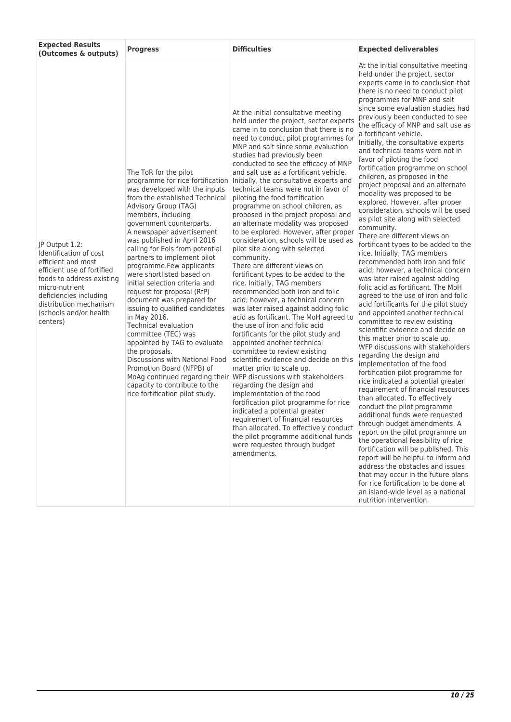| <b>Expected Results</b><br>(Outcomes & outputs)                                                                                                                                                                                       | <b>Progress</b>                                                                                                                                                                                                                                                                                                                                                                                                                                                                                                                                                                                                                                                                                                                                                                          | <b>Difficulties</b>                                                                                                                                                                                                                                                                                                                                                                                                                                                                                                                                                                                                                                                                                                                                                                                                                                                                                                                                                                                                                                                                                                                                                                                                                                                                                                                                                                                                                                                                                                                                                    | <b>Expected deliverables</b>                                                                                                                                                                                                                                                                                                                                                                                                                                                                                                                                                                                                                                                                                                                                                                                                                                                                                                                                                                                                                                                                                                                                                                                                                                                                                                                                                                                                                                                                                                                                                                                                                                                                                                                                                                                                                                                                   |
|---------------------------------------------------------------------------------------------------------------------------------------------------------------------------------------------------------------------------------------|------------------------------------------------------------------------------------------------------------------------------------------------------------------------------------------------------------------------------------------------------------------------------------------------------------------------------------------------------------------------------------------------------------------------------------------------------------------------------------------------------------------------------------------------------------------------------------------------------------------------------------------------------------------------------------------------------------------------------------------------------------------------------------------|------------------------------------------------------------------------------------------------------------------------------------------------------------------------------------------------------------------------------------------------------------------------------------------------------------------------------------------------------------------------------------------------------------------------------------------------------------------------------------------------------------------------------------------------------------------------------------------------------------------------------------------------------------------------------------------------------------------------------------------------------------------------------------------------------------------------------------------------------------------------------------------------------------------------------------------------------------------------------------------------------------------------------------------------------------------------------------------------------------------------------------------------------------------------------------------------------------------------------------------------------------------------------------------------------------------------------------------------------------------------------------------------------------------------------------------------------------------------------------------------------------------------------------------------------------------------|------------------------------------------------------------------------------------------------------------------------------------------------------------------------------------------------------------------------------------------------------------------------------------------------------------------------------------------------------------------------------------------------------------------------------------------------------------------------------------------------------------------------------------------------------------------------------------------------------------------------------------------------------------------------------------------------------------------------------------------------------------------------------------------------------------------------------------------------------------------------------------------------------------------------------------------------------------------------------------------------------------------------------------------------------------------------------------------------------------------------------------------------------------------------------------------------------------------------------------------------------------------------------------------------------------------------------------------------------------------------------------------------------------------------------------------------------------------------------------------------------------------------------------------------------------------------------------------------------------------------------------------------------------------------------------------------------------------------------------------------------------------------------------------------------------------------------------------------------------------------------------------------|
| JP Output 1.2:<br>Identification of cost<br>efficient and most<br>efficient use of fortified<br>foods to address existing<br>micro-nutrient<br>deficiencies including<br>distribution mechanism<br>(schools and/or health<br>centers) | The ToR for the pilot<br>programme for rice fortification<br>was developed with the inputs<br>from the established Technical<br>Advisory Group (TAG)<br>members, including<br>government counterparts.<br>A newspaper advertisement<br>was published in April 2016<br>calling for Eols from potential<br>partners to implement pilot<br>programme.Few applicants<br>were shortlisted based on<br>initial selection criteria and<br>request for proposal (RfP)<br>document was prepared for<br>issuing to qualified candidates<br>in May 2016.<br><b>Technical evaluation</b><br>committee (TEC) was<br>appointed by TAG to evaluate<br>the proposals.<br>Discussions with National Food<br>Promotion Board (NFPB) of<br>capacity to contribute to the<br>rice fortification pilot study. | At the initial consultative meeting<br>held under the project, sector experts<br>came in to conclusion that there is no<br>need to conduct pilot programmes for<br>MNP and salt since some evaluation<br>studies had previously been<br>conducted to see the efficacy of MNP<br>and salt use as a fortificant vehicle.<br>Initially, the consultative experts and<br>technical teams were not in favor of<br>piloting the food fortification<br>programme on school children, as<br>proposed in the project proposal and<br>an alternate modality was proposed<br>to be explored. However, after proper<br>consideration, schools will be used as<br>pilot site along with selected<br>community.<br>There are different views on<br>fortificant types to be added to the<br>rice. Initially, TAG members<br>recommended both iron and folic<br>acid; however, a technical concern<br>was later raised against adding folic<br>acid as fortificant. The MoH agreed to<br>the use of iron and folic acid<br>fortificants for the pilot study and<br>appointed another technical<br>committee to review existing<br>scientific evidence and decide on this<br>matter prior to scale up.<br>MoAg continued regarding their WFP discussions with stakeholders<br>regarding the design and<br>implementation of the food<br>fortification pilot programme for rice<br>indicated a potential greater<br>requirement of financial resources<br>than allocated. To effectively conduct<br>the pilot programme additional funds<br>were requested through budget<br>amendments. | At the initial consultative meeting<br>held under the project, sector<br>experts came in to conclusion that<br>there is no need to conduct pilot<br>programmes for MNP and salt<br>since some evaluation studies had<br>previously been conducted to see<br>the efficacy of MNP and salt use as<br>a fortificant vehicle.<br>Initially, the consultative experts<br>and technical teams were not in<br>favor of piloting the food<br>fortification programme on school<br>children, as proposed in the<br>project proposal and an alternate<br>modality was proposed to be<br>explored. However, after proper<br>consideration, schools will be used<br>as pilot site along with selected<br>community.<br>There are different views on<br>fortificant types to be added to the<br>rice. Initially, TAG members<br>recommended both iron and folic<br>acid; however, a technical concern<br>was later raised against adding<br>folic acid as fortificant. The MoH<br>agreed to the use of iron and folic<br>acid fortificants for the pilot study<br>and appointed another technical<br>committee to review existing<br>scientific evidence and decide on<br>this matter prior to scale up.<br>WFP discussions with stakeholders<br>regarding the design and<br>implementation of the food<br>fortification pilot programme for<br>rice indicated a potential greater<br>requirement of financial resources<br>than allocated. To effectively<br>conduct the pilot programme<br>additional funds were requested<br>through budget amendments. A<br>report on the pilot programme on<br>the operational feasibility of rice<br>fortification will be published. This<br>report will be helpful to inform and<br>address the obstacles and issues<br>that may occur in the future plans<br>for rice fortification to be done at<br>an island-wide level as a national<br>nutrition intervention. |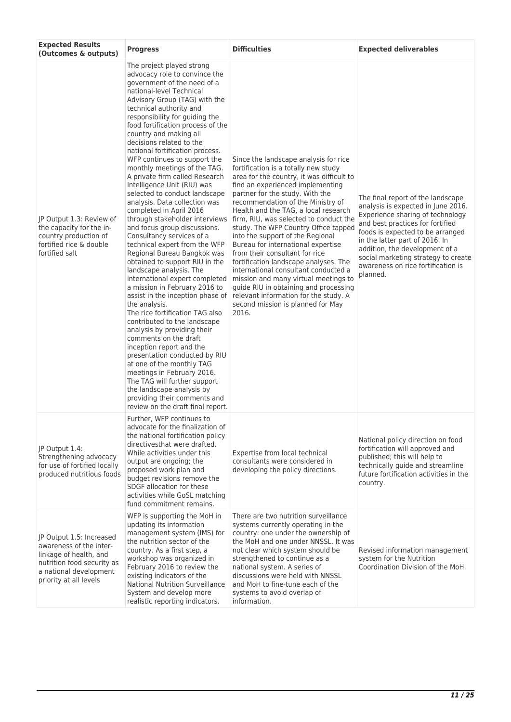| <b>Expected Results</b><br>(Outcomes & outputs)                                                                                                                 | <b>Progress</b>                                                                                                                                                                                                                                                                                                                                                                                                                                                                                                                                                                                                                                                                                                                                                                                                                                                                                                                                                                                                                                                                                                                                                                                                                                                                                                          | <b>Difficulties</b>                                                                                                                                                                                                                                                                                                                                                                                                                                                                                                                                                                                                                                                                                                                   | <b>Expected deliverables</b>                                                                                                                                                                                                                                                                                                                     |
|-----------------------------------------------------------------------------------------------------------------------------------------------------------------|--------------------------------------------------------------------------------------------------------------------------------------------------------------------------------------------------------------------------------------------------------------------------------------------------------------------------------------------------------------------------------------------------------------------------------------------------------------------------------------------------------------------------------------------------------------------------------------------------------------------------------------------------------------------------------------------------------------------------------------------------------------------------------------------------------------------------------------------------------------------------------------------------------------------------------------------------------------------------------------------------------------------------------------------------------------------------------------------------------------------------------------------------------------------------------------------------------------------------------------------------------------------------------------------------------------------------|---------------------------------------------------------------------------------------------------------------------------------------------------------------------------------------------------------------------------------------------------------------------------------------------------------------------------------------------------------------------------------------------------------------------------------------------------------------------------------------------------------------------------------------------------------------------------------------------------------------------------------------------------------------------------------------------------------------------------------------|--------------------------------------------------------------------------------------------------------------------------------------------------------------------------------------------------------------------------------------------------------------------------------------------------------------------------------------------------|
| JP Output 1.3: Review of<br>the capacity for the in-<br>country production of<br>fortified rice & double<br>fortified salt                                      | The project played strong<br>advocacy role to convince the<br>government of the need of a<br>national-level Technical<br>Advisory Group (TAG) with the<br>technical authority and<br>responsibility for guiding the<br>food fortification process of the<br>country and making all<br>decisions related to the<br>national fortification process.<br>WFP continues to support the<br>monthly meetings of the TAG.<br>A private firm called Research<br>Intelligence Unit (RIU) was<br>selected to conduct landscape<br>analysis. Data collection was<br>completed in April 2016<br>through stakeholder interviews<br>and focus group discussions.<br>Consultancy services of a<br>technical expert from the WFP<br>Regional Bureau Bangkok was<br>obtained to support RIU in the<br>landscape analysis. The<br>international expert completed<br>a mission in February 2016 to<br>assist in the inception phase of<br>the analysis.<br>The rice fortification TAG also<br>contributed to the landscape<br>analysis by providing their<br>comments on the draft<br>inception report and the<br>presentation conducted by RIU<br>at one of the monthly TAG<br>meetings in February 2016.<br>The TAG will further support<br>the landscape analysis by<br>providing their comments and<br>review on the draft final report. | Since the landscape analysis for rice<br>fortification is a totally new study<br>area for the country, it was difficult to<br>find an experienced implementing<br>partner for the study. With the<br>recommendation of the Ministry of<br>Health and the TAG, a local research<br>firm, RIU, was selected to conduct the<br>study. The WFP Country Office tapped<br>into the support of the Regional<br>Bureau for international expertise<br>from their consultant for rice<br>fortification landscape analyses. The<br>international consultant conducted a<br>mission and many virtual meetings to<br>guide RIU in obtaining and processing<br>relevant information for the study. A<br>second mission is planned for May<br>2016. | The final report of the landscape<br>analysis is expected in June 2016.<br>Experience sharing of technology<br>and best practices for fortified<br>foods is expected to be arranged<br>in the latter part of 2016. In<br>addition, the development of a<br>social marketing strategy to create<br>awareness on rice fortification is<br>planned. |
| JP Output 1.4:<br>Strengthening advocacy<br>for use of fortified locally<br>produced nutritious foods                                                           | Further, WFP continues to<br>advocate for the finalization of<br>the national fortification policy<br>directivesthat were drafted.<br>While activities under this<br>output are ongoing; the<br>proposed work plan and<br>budget revisions remove the<br>SDGF allocation for these<br>activities while GoSL matching<br>fund commitment remains.                                                                                                                                                                                                                                                                                                                                                                                                                                                                                                                                                                                                                                                                                                                                                                                                                                                                                                                                                                         | Expertise from local technical<br>consultants were considered in<br>developing the policy directions.                                                                                                                                                                                                                                                                                                                                                                                                                                                                                                                                                                                                                                 | National policy direction on food<br>fortification will approved and<br>published; this will help to<br>technically guide and streamline<br>future fortification activities in the<br>country.                                                                                                                                                   |
| JP Output 1.5: Increased<br>awareness of the inter-<br>linkage of health, and<br>nutrition food security as<br>a national development<br>priority at all levels | WFP is supporting the MoH in<br>updating its information<br>management system (IMS) for<br>the nutrition sector of the<br>country. As a first step, a<br>workshop was organized in<br>February 2016 to review the<br>existing indicators of the<br>National Nutrition Surveillance<br>System and develop more<br>realistic reporting indicators.                                                                                                                                                                                                                                                                                                                                                                                                                                                                                                                                                                                                                                                                                                                                                                                                                                                                                                                                                                         | There are two nutrition surveillance<br>systems currently operating in the<br>country: one under the ownership of<br>the MoH and one under NNSSL. It was<br>not clear which system should be<br>strengthened to continue as a<br>national system. A series of<br>discussions were held with NNSSL<br>and MoH to fine-tune each of the<br>systems to avoid overlap of<br>information.                                                                                                                                                                                                                                                                                                                                                  | Revised information management<br>system for the Nutrition<br>Coordination Division of the MoH.                                                                                                                                                                                                                                                  |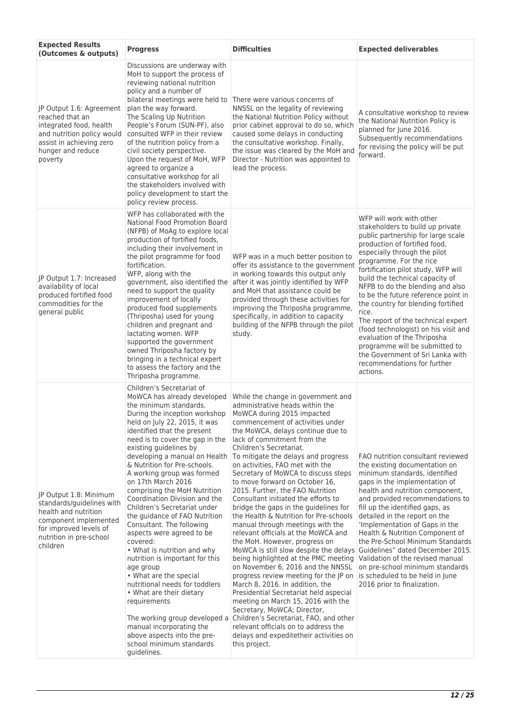| <b>Expected Results</b><br>(Outcomes & outputs)                                                                                                                       | <b>Progress</b>                                                                                                                                                                                                                                                                                                                                                                                                                                                                                                                                                                                                                                                                                                                                                                                                                                                                                             | <b>Difficulties</b>                                                                                                                                                                                                                                                                                                                                                                                                                                                                                                                                                                                                                                                                                                                                                                                                                                                                                                                                                                                                                                                                                                                                                 | <b>Expected deliverables</b>                                                                                                                                                                                                                                                                                                                                                                                                                                                                                                                                                                                                     |
|-----------------------------------------------------------------------------------------------------------------------------------------------------------------------|-------------------------------------------------------------------------------------------------------------------------------------------------------------------------------------------------------------------------------------------------------------------------------------------------------------------------------------------------------------------------------------------------------------------------------------------------------------------------------------------------------------------------------------------------------------------------------------------------------------------------------------------------------------------------------------------------------------------------------------------------------------------------------------------------------------------------------------------------------------------------------------------------------------|---------------------------------------------------------------------------------------------------------------------------------------------------------------------------------------------------------------------------------------------------------------------------------------------------------------------------------------------------------------------------------------------------------------------------------------------------------------------------------------------------------------------------------------------------------------------------------------------------------------------------------------------------------------------------------------------------------------------------------------------------------------------------------------------------------------------------------------------------------------------------------------------------------------------------------------------------------------------------------------------------------------------------------------------------------------------------------------------------------------------------------------------------------------------|----------------------------------------------------------------------------------------------------------------------------------------------------------------------------------------------------------------------------------------------------------------------------------------------------------------------------------------------------------------------------------------------------------------------------------------------------------------------------------------------------------------------------------------------------------------------------------------------------------------------------------|
| JP Output 1.6: Agreement<br>reached that an<br>integrated food, health<br>and nutrition policy would<br>assist in achieving zero<br>hunger and reduce<br>poverty      | Discussions are underway with<br>MoH to support the process of<br>reviewing national nutrition<br>policy and a number of<br>plan the way forward.<br>The Scaling Up Nutrition<br>People's Forum (SUN-PF), also<br>consulted WFP in their review<br>of the nutrition policy from a<br>civil society perspective.<br>Upon the request of MoH, WFP<br>agreed to organize a<br>consultative workshop for all<br>the stakeholders involved with<br>policy development to start the<br>policy review process.                                                                                                                                                                                                                                                                                                                                                                                                     | bilateral meetings were held to There were various concerns of<br>NNSSL on the legality of reviewing<br>the National Nutrition Policy without<br>prior cabinet approval to do so, which<br>caused some delays in conducting<br>the consultative workshop. Finally,<br>the issue was cleared by the MoH and<br>Director - Nutrition was appointed to<br>lead the process.                                                                                                                                                                                                                                                                                                                                                                                                                                                                                                                                                                                                                                                                                                                                                                                            | A consultative workshop to review<br>the National Nutrition Policy is<br>planned for June 2016.<br>Subsequently recommendations<br>for revising the policy will be put<br>forward.                                                                                                                                                                                                                                                                                                                                                                                                                                               |
| JP Output 1.7: Increased<br>availability of local<br>produced fortified food<br>commodities for the<br>general public                                                 | WFP has collaborated with the<br>National Food Promotion Board<br>(NFPB) of MoAg to explore local<br>production of fortified foods,<br>including their involvement in<br>the pilot programme for food<br>fortification.<br>WFP, along with the<br>government, also identified the<br>need to support the quality<br>improvement of locally<br>produced food supplements<br>(Thriposha) used for young<br>children and pregnant and<br>lactating women. WFP<br>supported the government<br>owned Thriposha factory by<br>bringing in a technical expert<br>to assess the factory and the<br>Thriposha programme.                                                                                                                                                                                                                                                                                             | WFP was in a much better position to<br>offer its assistance to the government<br>in working towards this output only<br>after it was jointly identified by WFP<br>and MoH that assistance could be<br>provided through these activities for<br>improving the Thriposha programme,<br>specifically, in addition to capacity<br>building of the NFPB through the pilot<br>study.                                                                                                                                                                                                                                                                                                                                                                                                                                                                                                                                                                                                                                                                                                                                                                                     | WFP will work with other<br>stakeholders to build up private<br>public partnership for large scale<br>production of fortified food,<br>especially through the pilot<br>programme. For the rice<br>fortification pilot study, WFP will<br>build the technical capacity of<br>NFPB to do the blending and also<br>to be the future reference point in<br>the country for blending fortified<br>rice.<br>The report of the technical expert<br>(food technologist) on his visit and<br>evaluation of the Thriposha<br>programme will be submitted to<br>the Government of Sri Lanka with<br>recommendations for further<br>actions. |
| JP Output 1.8: Minimum<br>standards/guidelines with<br>health and nutrition<br>component implemented<br>for improved levels of<br>nutrition in pre-school<br>children | Children's Secretariat of<br>MoWCA has already developed<br>the minimum standards.<br>During the inception workshop<br>held on July 22, 2015, it was<br>identified that the present<br>need is to cover the gap in the<br>existing guidelines by<br>developing a manual on Health<br>& Nutrition for Pre-schools.<br>A working group was formed<br>on 17th March 2016<br>comprising the MoH Nutrition<br>Coordination Division and the<br>Children's Secretariat under<br>the guidance of FAO Nutrition<br>Consultant. The following<br>aspects were agreed to be<br>covered:<br>• What is nutrition and why<br>nutrition is important for this<br>age group<br>• What are the special<br>nutritional needs for toddlers<br>• What are their dietary<br>requirements<br>The working group developed a<br>manual incorporating the<br>above aspects into the pre-<br>school minimum standards<br>quidelines. | While the change in government and<br>administrative heads within the<br>MoWCA during 2015 impacted<br>commencement of activities under<br>the MoWCA, delays continue due to<br>lack of commitment from the<br>Children's Secretariat.<br>To mitigate the delays and progress<br>on activities, FAO met with the<br>Secretary of MoWCA to discuss steps<br>to move forward on October 16,<br>2015. Further, the FAO Nutrition<br>Consultant initiated the efforts to<br>bridge the gaps in the guidelines for<br>the Health & Nutrition for Pre-schools<br>manual through meetings with the<br>relevant officials at the MoWCA and<br>the MoH. However, progress on<br>MoWCA is still slow despite the delays Guidelines" dated December 2015.<br>being highlighted at the PMC meeting<br>on November 6, 2016 and the NNSSL<br>progress review meeting for the JP on<br>March 8, 2016. In addition, the<br>Presidential Secretariat held aspecial<br>meeting on March 15, 2016 with the<br>Secretary, MoWCA; Director,<br>Children's Secretariat, FAO, and other<br>relevant officials on to address the<br>delays and expeditetheir activities on<br>this project. | FAO nutrition consultant reviewed<br>the existing documentation on<br>minimum standards, identified<br>gaps in the implementation of<br>health and nutrition component,<br>and provided recommendations to<br>fill up the identified gaps, as<br>detailed in the report on the<br>'Implementation of Gaps in the<br>Health & Nutrition Component of<br>the Pre-School Minimum Standards<br>Validation of the revised manual<br>on pre-school minimum standards<br>is scheduled to be held in June<br>2016 prior to finalization.                                                                                                 |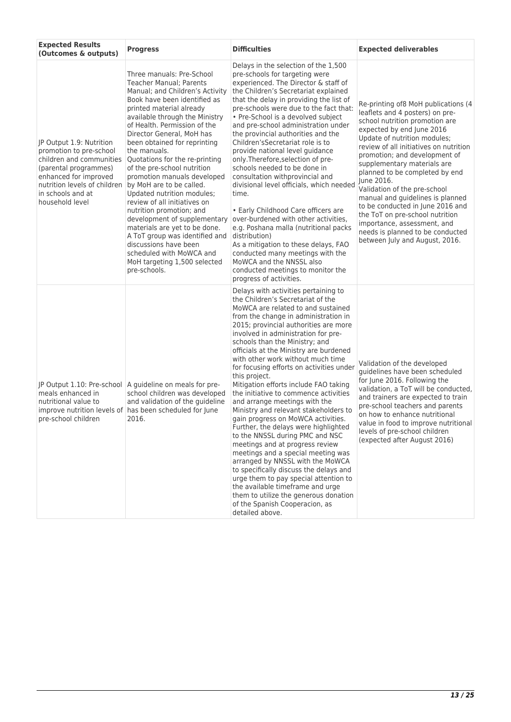| <b>Expected Results</b><br>(Outcomes & outputs)                                                                                                                                                           | <b>Progress</b>                                                                                                                                                                                                                                                                                                                                                                                                                                                                                                                                                                                                                                                                                                                          | <b>Difficulties</b>                                                                                                                                                                                                                                                                                                                                                                                                                                                                                                                                                                                                                                                                                                                                                                                                                                                                                                                                                                                                                  | <b>Expected deliverables</b>                                                                                                                                                                                                                                                                                                                                                                                                                                                                                                                                                    |
|-----------------------------------------------------------------------------------------------------------------------------------------------------------------------------------------------------------|------------------------------------------------------------------------------------------------------------------------------------------------------------------------------------------------------------------------------------------------------------------------------------------------------------------------------------------------------------------------------------------------------------------------------------------------------------------------------------------------------------------------------------------------------------------------------------------------------------------------------------------------------------------------------------------------------------------------------------------|--------------------------------------------------------------------------------------------------------------------------------------------------------------------------------------------------------------------------------------------------------------------------------------------------------------------------------------------------------------------------------------------------------------------------------------------------------------------------------------------------------------------------------------------------------------------------------------------------------------------------------------------------------------------------------------------------------------------------------------------------------------------------------------------------------------------------------------------------------------------------------------------------------------------------------------------------------------------------------------------------------------------------------------|---------------------------------------------------------------------------------------------------------------------------------------------------------------------------------------------------------------------------------------------------------------------------------------------------------------------------------------------------------------------------------------------------------------------------------------------------------------------------------------------------------------------------------------------------------------------------------|
| JP Output 1.9: Nutrition<br>promotion to pre-school<br>children and communities<br>(parental programmes)<br>enhanced for improved<br>nutrition levels of children<br>in schools and at<br>household level | Three manuals: Pre-School<br><b>Teacher Manual</b> ; Parents<br>Manual; and Children's Activity<br>Book have been identified as<br>printed material already<br>available through the Ministry<br>of Health. Permission of the<br>Director General, MoH has<br>been obtained for reprinting<br>the manuals.<br>Quotations for the re-printing<br>of the pre-school nutrition<br>promotion manuals developed<br>by MoH are to be called.<br>Updated nutrition modules;<br>review of all initiatives on<br>nutrition promotion; and<br>development of supplementary<br>materials are yet to be done.<br>A ToT group was identified and<br>discussions have been<br>scheduled with MoWCA and<br>MoH targeting 1,500 selected<br>pre-schools. | Delays in the selection of the 1,500<br>pre-schools for targeting were<br>experienced. The Director & staff of<br>the Children's Secretariat explained<br>that the delay in providing the list of<br>pre-schools were due to the fact that:<br>• Pre-School is a devolved subject<br>and pre-school administration under<br>the provincial authorities and the<br>Children's Secretariat role is to<br>provide national level guidance<br>only. Therefore, selection of pre-<br>schools needed to be done in<br>consultation withprovincial and<br>divisional level officials, which needed<br>time.<br>• Early Childhood Care officers are<br>over-burdened with other activities,<br>e.g. Poshana malla (nutritional packs<br>distribution)<br>As a mitigation to these delays, FAO<br>conducted many meetings with the<br>MoWCA and the NNSSL also<br>conducted meetings to monitor the<br>progress of activities.                                                                                                                | Re-printing of8 MoH publications (4<br>leaflets and 4 posters) on pre-<br>school nutrition promotion are<br>expected by end June 2016<br>Update of nutrition modules;<br>review of all initiatives on nutrition<br>promotion; and development of<br>supplementary materials are<br>planned to be completed by end<br>June 2016.<br>Validation of the pre-school<br>manual and guidelines is planned<br>to be conducted in June 2016 and<br>the ToT on pre-school nutrition<br>importance, assessment, and<br>needs is planned to be conducted<br>between July and August, 2016. |
| JP Output 1.10: Pre-school<br>meals enhanced in<br>nutritional value to<br>pre-school children                                                                                                            | A quideline on meals for pre-<br>school children was developed<br>and validation of the guideline<br>improve nutrition levels of has been scheduled for June<br>2016.                                                                                                                                                                                                                                                                                                                                                                                                                                                                                                                                                                    | Delays with activities pertaining to<br>the Children's Secretariat of the<br>MoWCA are related to and sustained<br>from the change in administration in<br>2015; provincial authorities are more<br>involved in administration for pre-<br>schools than the Ministry; and<br>officials at the Ministry are burdened<br>with other work without much time<br>for focusing efforts on activities under<br>this project.<br>Mitigation efforts include FAO taking<br>the initiative to commence activities<br>and arrange meetings with the<br>Ministry and relevant stakeholders to<br>gain progress on MoWCA activities.<br>Further, the delays were highlighted<br>to the NNSSL during PMC and NSC<br>meetings and at progress review<br>meetings and a special meeting was<br>arranged by NNSSL with the MoWCA<br>to specifically discuss the delays and<br>urge them to pay special attention to<br>the available timeframe and urge<br>them to utilize the generous donation<br>of the Spanish Cooperacion, as<br>detailed above. | Validation of the developed<br>quidelines have been scheduled<br>for June 2016. Following the<br>validation, a ToT will be conducted,<br>and trainers are expected to train<br>pre-school teachers and parents<br>on how to enhance nutritional<br>value in food to improve nutritional<br>levels of pre-school children<br>(expected after August 2016)                                                                                                                                                                                                                        |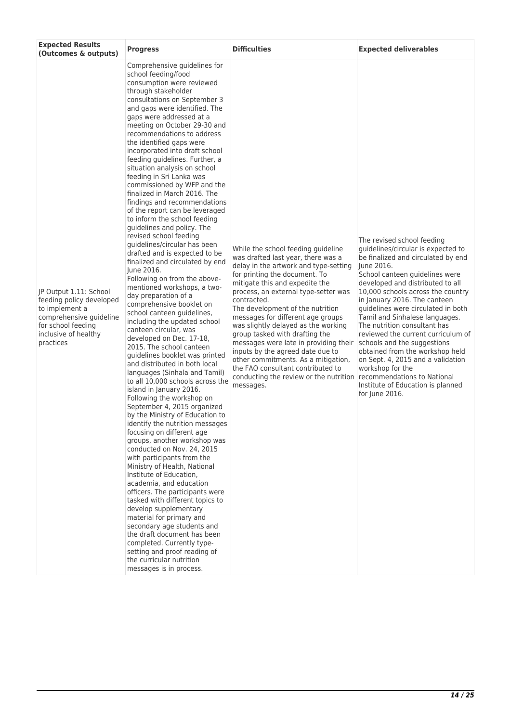| <b>Expected Results</b><br>(Outcomes & outputs)                                                                                                            | <b>Progress</b>                                                                                                                                                                                                                                                                                                                                                                                                                                                                                                                                                                                                                                                                                                                                                                                                                                                                                                                                                                                                                                                                                                                                                                                                                                                                                                                                                                                                                                                                                                                                                                                                                                                                                                                                                                                                                                                              | <b>Difficulties</b>                                                                                                                                                                                                                                                                                                                                                                                                                                                                                                                                                                                                                       | <b>Expected deliverables</b>                                                                                                                                                                                                                                                                                                                                                                                                                                                                                                                                                                    |
|------------------------------------------------------------------------------------------------------------------------------------------------------------|------------------------------------------------------------------------------------------------------------------------------------------------------------------------------------------------------------------------------------------------------------------------------------------------------------------------------------------------------------------------------------------------------------------------------------------------------------------------------------------------------------------------------------------------------------------------------------------------------------------------------------------------------------------------------------------------------------------------------------------------------------------------------------------------------------------------------------------------------------------------------------------------------------------------------------------------------------------------------------------------------------------------------------------------------------------------------------------------------------------------------------------------------------------------------------------------------------------------------------------------------------------------------------------------------------------------------------------------------------------------------------------------------------------------------------------------------------------------------------------------------------------------------------------------------------------------------------------------------------------------------------------------------------------------------------------------------------------------------------------------------------------------------------------------------------------------------------------------------------------------------|-------------------------------------------------------------------------------------------------------------------------------------------------------------------------------------------------------------------------------------------------------------------------------------------------------------------------------------------------------------------------------------------------------------------------------------------------------------------------------------------------------------------------------------------------------------------------------------------------------------------------------------------|-------------------------------------------------------------------------------------------------------------------------------------------------------------------------------------------------------------------------------------------------------------------------------------------------------------------------------------------------------------------------------------------------------------------------------------------------------------------------------------------------------------------------------------------------------------------------------------------------|
| JP Output 1.11: School<br>feeding policy developed<br>to implement a<br>comprehensive guideline<br>for school feeding<br>inclusive of healthy<br>practices | Comprehensive guidelines for<br>school feeding/food<br>consumption were reviewed<br>through stakeholder<br>consultations on September 3<br>and gaps were identified. The<br>gaps were addressed at a<br>meeting on October 29-30 and<br>recommendations to address<br>the identified gaps were<br>incorporated into draft school<br>feeding guidelines. Further, a<br>situation analysis on school<br>feeding in Sri Lanka was<br>commissioned by WFP and the<br>finalized in March 2016. The<br>findings and recommendations<br>of the report can be leveraged<br>to inform the school feeding<br>guidelines and policy. The<br>revised school feeding<br>guidelines/circular has been<br>drafted and is expected to be<br>finalized and circulated by end<br>June 2016.<br>Following on from the above-<br>mentioned workshops, a two-<br>day preparation of a<br>comprehensive booklet on<br>school canteen guidelines,<br>including the updated school<br>canteen circular, was<br>developed on Dec. 17-18,<br>2015. The school canteen<br>quidelines booklet was printed<br>and distributed in both local<br>languages (Sinhala and Tamil)<br>to all 10,000 schools across the<br>island in January 2016.<br>Following the workshop on<br>September 4, 2015 organized<br>by the Ministry of Education to<br>identify the nutrition messages<br>focusing on different age<br>groups, another workshop was<br>conducted on Nov. 24, 2015<br>with participants from the<br>Ministry of Health, National<br>Institute of Education,<br>academia, and education<br>officers. The participants were<br>tasked with different topics to<br>develop supplementary<br>material for primary and<br>secondary age students and<br>the draft document has been<br>completed. Currently type-<br>setting and proof reading of<br>the curricular nutrition<br>messages is in process. | While the school feeding guideline<br>was drafted last year, there was a<br>delay in the artwork and type-setting<br>for printing the document. To<br>mitigate this and expedite the<br>process, an external type-setter was<br>contracted.<br>The development of the nutrition<br>messages for different age groups<br>was slightly delayed as the working<br>group tasked with drafting the<br>messages were late in providing their<br>inputs by the agreed date due to<br>other commitments. As a mitigation,<br>the FAO consultant contributed to<br>conducting the review or the nutrition recommendations to National<br>messages. | The revised school feeding<br>quidelines/circular is expected to<br>be finalized and circulated by end<br>June 2016.<br>School canteen guidelines were<br>developed and distributed to all<br>10,000 schools across the country<br>in January 2016. The canteen<br>guidelines were circulated in both<br>Tamil and Sinhalese languages.<br>The nutrition consultant has<br>reviewed the current curriculum of<br>schools and the suggestions<br>obtained from the workshop held<br>on Sept. 4, 2015 and a validation<br>workshop for the<br>Institute of Education is planned<br>for June 2016. |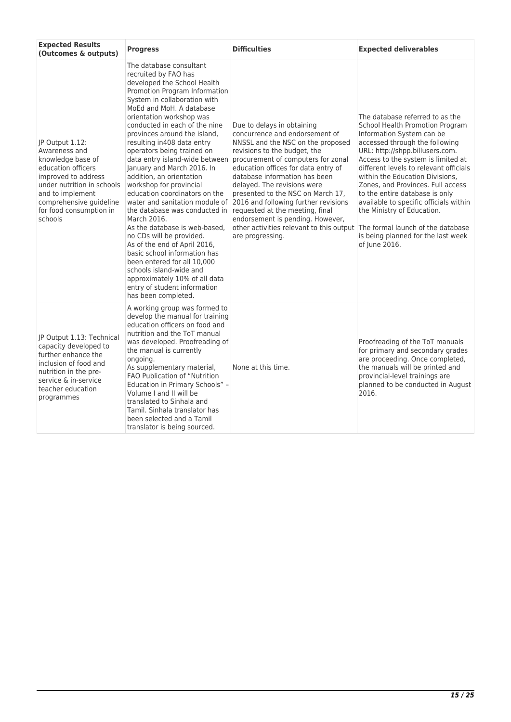| <b>Expected Results</b><br>(Outcomes & outputs)                                                                                                                                                                       | <b>Progress</b>                                                                                                                                                                                                                                                                                                                                                                                                                                                                                                                                                                                                                                                                                                                                                                                                                                               | <b>Difficulties</b>                                                                                                                                                                                                                                                                                                                                                                                                                                                                                                                  | <b>Expected deliverables</b>                                                                                                                                                                                                                                                                                                                                                                                                                                                                  |
|-----------------------------------------------------------------------------------------------------------------------------------------------------------------------------------------------------------------------|---------------------------------------------------------------------------------------------------------------------------------------------------------------------------------------------------------------------------------------------------------------------------------------------------------------------------------------------------------------------------------------------------------------------------------------------------------------------------------------------------------------------------------------------------------------------------------------------------------------------------------------------------------------------------------------------------------------------------------------------------------------------------------------------------------------------------------------------------------------|--------------------------------------------------------------------------------------------------------------------------------------------------------------------------------------------------------------------------------------------------------------------------------------------------------------------------------------------------------------------------------------------------------------------------------------------------------------------------------------------------------------------------------------|-----------------------------------------------------------------------------------------------------------------------------------------------------------------------------------------------------------------------------------------------------------------------------------------------------------------------------------------------------------------------------------------------------------------------------------------------------------------------------------------------|
| JP Output 1.12:<br>Awareness and<br>knowledge base of<br>education officers<br>improved to address<br>under nutrition in schools<br>and to implement<br>comprehensive guideline<br>for food consumption in<br>schools | The database consultant<br>recruited by FAO has<br>developed the School Health<br>Promotion Program Information<br>System in collaboration with<br>MoEd and MoH. A database<br>orientation workshop was<br>conducted in each of the nine<br>provinces around the island,<br>resulting in408 data entry<br>operators being trained on<br>data entry island-wide between<br>January and March 2016. In<br>addition, an orientation<br>workshop for provincial<br>education coordinators on the<br>water and sanitation module of<br>the database was conducted in<br>March 2016.<br>As the database is web-based.<br>no CDs will be provided.<br>As of the end of April 2016,<br>basic school information has<br>been entered for all 10,000<br>schools island-wide and<br>approximately 10% of all data<br>entry of student information<br>has been completed. | Due to delays in obtaining<br>concurrence and endorsement of<br>NNSSL and the NSC on the proposed<br>revisions to the budget, the<br>procurement of computers for zonal<br>education offices for data entry of<br>database information has been<br>delayed. The revisions were<br>presented to the NSC on March 17,<br>2016 and following further revisions<br>requested at the meeting, final<br>endorsement is pending. However,<br>other activities relevant to this output The formal launch of the database<br>are progressing. | The database referred to as the<br>School Health Promotion Program<br>Information System can be<br>accessed through the following<br>URL: http://shpp.billusers.com.<br>Access to the system is limited at<br>different levels to relevant officials<br>within the Education Divisions,<br>Zones, and Provinces. Full access<br>to the entire database is only<br>available to specific officials within<br>the Ministry of Education.<br>is being planned for the last week<br>of June 2016. |
| JP Output 1.13: Technical<br>capacity developed to<br>further enhance the<br>inclusion of food and<br>nutrition in the pre-<br>service & in-service<br>teacher education<br>programmes                                | A working group was formed to<br>develop the manual for training<br>education officers on food and<br>nutrition and the ToT manual<br>was developed. Proofreading of<br>the manual is currently<br>ongoing.<br>As supplementary material,<br>FAO Publication of "Nutrition<br>Education in Primary Schools" -<br>Volume I and II will be<br>translated to Sinhala and<br>Tamil. Sinhala translator has<br>been selected and a Tamil<br>translator is being sourced.                                                                                                                                                                                                                                                                                                                                                                                           | None at this time.                                                                                                                                                                                                                                                                                                                                                                                                                                                                                                                   | Proofreading of the ToT manuals<br>for primary and secondary grades<br>are proceeding. Once completed,<br>the manuals will be printed and<br>provincial-level trainings are<br>planned to be conducted in August<br>2016.                                                                                                                                                                                                                                                                     |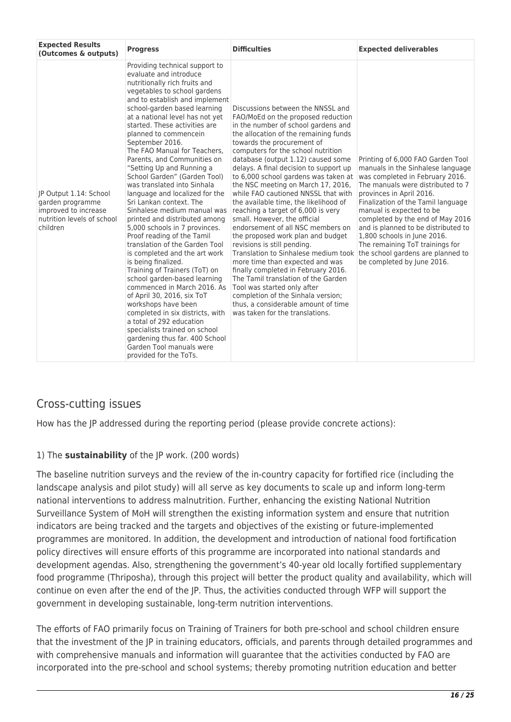| <b>Expected Results</b><br>(Outcomes & outputs)                                                              | <b>Progress</b>                                                                                                                                                                                                                                                                                                                                                                                                                                                                                                                                                                                                                                                                                                                                                                                                                                                                                                                                                                                                                                                                                            | <b>Difficulties</b>                                                                                                                                                                                                                                                                                                                                                                                                                                                                                                                                                                                                                                                                                                                                                                                                                                                                                                                                                                                | <b>Expected deliverables</b>                                                                                                                                                                                                                                                                                                                                                                                            |
|--------------------------------------------------------------------------------------------------------------|------------------------------------------------------------------------------------------------------------------------------------------------------------------------------------------------------------------------------------------------------------------------------------------------------------------------------------------------------------------------------------------------------------------------------------------------------------------------------------------------------------------------------------------------------------------------------------------------------------------------------------------------------------------------------------------------------------------------------------------------------------------------------------------------------------------------------------------------------------------------------------------------------------------------------------------------------------------------------------------------------------------------------------------------------------------------------------------------------------|----------------------------------------------------------------------------------------------------------------------------------------------------------------------------------------------------------------------------------------------------------------------------------------------------------------------------------------------------------------------------------------------------------------------------------------------------------------------------------------------------------------------------------------------------------------------------------------------------------------------------------------------------------------------------------------------------------------------------------------------------------------------------------------------------------------------------------------------------------------------------------------------------------------------------------------------------------------------------------------------------|-------------------------------------------------------------------------------------------------------------------------------------------------------------------------------------------------------------------------------------------------------------------------------------------------------------------------------------------------------------------------------------------------------------------------|
| JP Output 1.14: School<br>garden programme<br>improved to increase<br>nutrition levels of school<br>children | Providing technical support to<br>evaluate and introduce<br>nutritionally rich fruits and<br>vegetables to school gardens<br>and to establish and implement<br>school-garden based learning<br>at a national level has not yet<br>started. These activities are<br>planned to commencein<br>September 2016.<br>The FAO Manual for Teachers.<br>Parents, and Communities on<br>"Setting Up and Running a<br>School Garden" (Garden Tool)<br>was translated into Sinhala<br>language and localized for the<br>Sri Lankan context. The<br>Sinhalese medium manual was<br>printed and distributed among<br>5,000 schools in 7 provinces.<br>Proof reading of the Tamil<br>translation of the Garden Tool<br>is completed and the art work<br>is being finalized.<br>Training of Trainers (ToT) on<br>school garden-based learning<br>commenced in March 2016. As<br>of April 30, 2016, six ToT<br>workshops have been<br>completed in six districts, with<br>a total of 292 education<br>specialists trained on school<br>gardening thus far. 400 School<br>Garden Tool manuals were<br>provided for the ToTs. | Discussions between the NNSSL and<br>FAO/MoEd on the proposed reduction<br>in the number of school gardens and<br>the allocation of the remaining funds<br>towards the procurement of<br>computers for the school nutrition<br>database (output 1.12) caused some<br>delays. A final decision to support up<br>to 6,000 school gardens was taken at<br>the NSC meeting on March 17, 2016,<br>while FAO cautioned NNSSL that with<br>the available time, the likelihood of<br>reaching a target of 6,000 is very<br>small. However, the official<br>endorsement of all NSC members on<br>the proposed work plan and budget<br>revisions is still pending.<br>Translation to Sinhalese medium took the school gardens are planned to<br>more time than expected and was<br>finally completed in February 2016.<br>The Tamil translation of the Garden<br>Tool was started only after<br>completion of the Sinhala version;<br>thus, a considerable amount of time<br>was taken for the translations. | Printing of 6,000 FAO Garden Tool<br>manuals in the Sinhalese language<br>was completed in February 2016.<br>The manuals were distributed to 7<br>provinces in April 2016.<br>Finalization of the Tamil language<br>manual is expected to be<br>completed by the end of May 2016<br>and is planned to be distributed to<br>1,800 schools in June 2016.<br>The remaining ToT trainings for<br>be completed by June 2016. |

## Cross-cutting issues

How has the JP addressed during the reporting period (please provide concrete actions):

#### 1) The **sustainability** of the JP work. (200 words)

The baseline nutrition surveys and the review of the in-country capacity for fortified rice (including the landscape analysis and pilot study) will all serve as key documents to scale up and inform long-term national interventions to address malnutrition. Further, enhancing the existing National Nutrition Surveillance System of MoH will strengthen the existing information system and ensure that nutrition indicators are being tracked and the targets and objectives of the existing or future-implemented programmes are monitored. In addition, the development and introduction of national food fortification policy directives will ensure efforts of this programme are incorporated into national standards and development agendas. Also, strengthening the government's 40-year old locally fortified supplementary food programme (Thriposha), through this project will better the product quality and availability, which will continue on even after the end of the JP. Thus, the activities conducted through WFP will support the government in developing sustainable, long-term nutrition interventions.

The efforts of FAO primarily focus on Training of Trainers for both pre-school and school children ensure that the investment of the JP in training educators, officials, and parents through detailed programmes and with comprehensive manuals and information will guarantee that the activities conducted by FAO are incorporated into the pre-school and school systems; thereby promoting nutrition education and better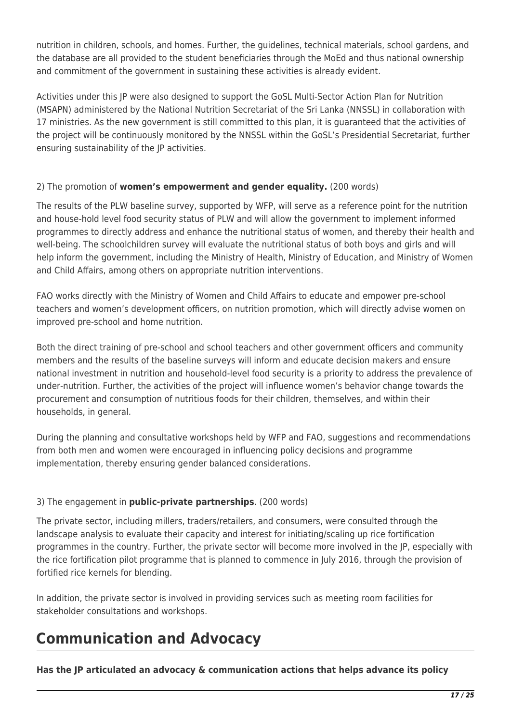nutrition in children, schools, and homes. Further, the guidelines, technical materials, school gardens, and the database are all provided to the student beneficiaries through the MoEd and thus national ownership and commitment of the government in sustaining these activities is already evident.

Activities under this JP were also designed to support the GoSL Multi-Sector Action Plan for Nutrition (MSAPN) administered by the National Nutrition Secretariat of the Sri Lanka (NNSSL) in collaboration with 17 ministries. As the new government is still committed to this plan, it is guaranteed that the activities of the project will be continuously monitored by the NNSSL within the GoSL's Presidential Secretariat, further ensuring sustainability of the JP activities.

#### 2) The promotion of **women's empowerment and gender equality.** (200 words)

The results of the PLW baseline survey, supported by WFP, will serve as a reference point for the nutrition and house-hold level food security status of PLW and will allow the government to implement informed programmes to directly address and enhance the nutritional status of women, and thereby their health and well-being. The schoolchildren survey will evaluate the nutritional status of both boys and girls and will help inform the government, including the Ministry of Health, Ministry of Education, and Ministry of Women and Child Affairs, among others on appropriate nutrition interventions.

FAO works directly with the Ministry of Women and Child Affairs to educate and empower pre-school teachers and women's development officers, on nutrition promotion, which will directly advise women on improved pre-school and home nutrition.

Both the direct training of pre-school and school teachers and other government officers and community members and the results of the baseline surveys will inform and educate decision makers and ensure national investment in nutrition and household-level food security is a priority to address the prevalence of under-nutrition. Further, the activities of the project will influence women's behavior change towards the procurement and consumption of nutritious foods for their children, themselves, and within their households, in general.

During the planning and consultative workshops held by WFP and FAO, suggestions and recommendations from both men and women were encouraged in influencing policy decisions and programme implementation, thereby ensuring gender balanced considerations.

#### 3) The engagement in **public-private partnerships**. (200 words)

The private sector, including millers, traders/retailers, and consumers, were consulted through the landscape analysis to evaluate their capacity and interest for initiating/scaling up rice fortification programmes in the country. Further, the private sector will become more involved in the JP, especially with the rice fortification pilot programme that is planned to commence in July 2016, through the provision of fortified rice kernels for blending.

In addition, the private sector is involved in providing services such as meeting room facilities for stakeholder consultations and workshops.

## **Communication and Advocacy**

**Has the JP articulated an advocacy & communication actions that helps advance its policy**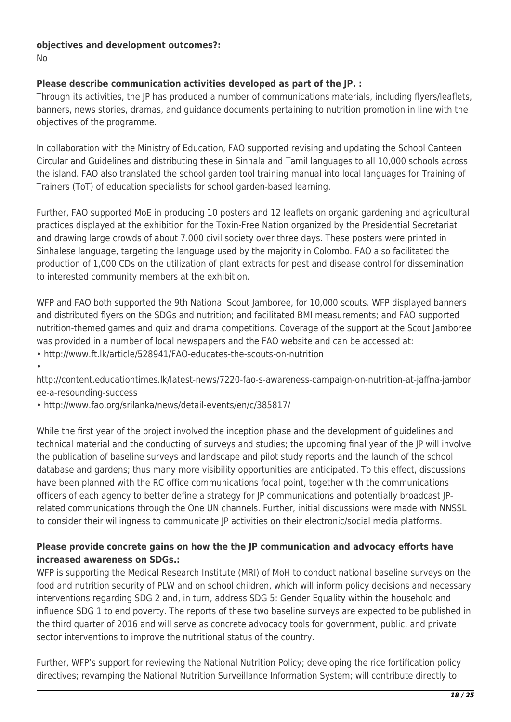## **objectives and development outcomes?:**

No

•

#### **Please describe communication activities developed as part of the JP. :**

Through its activities, the JP has produced a number of communications materials, including flyers/leaflets, banners, news stories, dramas, and guidance documents pertaining to nutrition promotion in line with the objectives of the programme.

In collaboration with the Ministry of Education, FAO supported revising and updating the School Canteen Circular and Guidelines and distributing these in Sinhala and Tamil languages to all 10,000 schools across the island. FAO also translated the school garden tool training manual into local languages for Training of Trainers (ToT) of education specialists for school garden-based learning.

Further, FAO supported MoE in producing 10 posters and 12 leaflets on organic gardening and agricultural practices displayed at the exhibition for the Toxin-Free Nation organized by the Presidential Secretariat and drawing large crowds of about 7.000 civil society over three days. These posters were printed in Sinhalese language, targeting the language used by the majority in Colombo. FAO also facilitated the production of 1,000 CDs on the utilization of plant extracts for pest and disease control for dissemination to interested community members at the exhibition.

WFP and FAO both supported the 9th National Scout Jamboree, for 10,000 scouts. WFP displayed banners and distributed flyers on the SDGs and nutrition; and facilitated BMI measurements; and FAO supported nutrition-themed games and quiz and drama competitions. Coverage of the support at the Scout Jamboree was provided in a number of local newspapers and the FAO website and can be accessed at:

• http://www.ft.lk/article/528941/FAO-educates-the-scouts-on-nutrition

http://content.educationtimes.lk/latest-news/7220-fao-s-awareness-campaign-on-nutrition-at-jaffna-jambor ee-a-resounding-success

• http://www.fao.org/srilanka/news/detail-events/en/c/385817/

While the first year of the project involved the inception phase and the development of guidelines and technical material and the conducting of surveys and studies; the upcoming final year of the JP will involve the publication of baseline surveys and landscape and pilot study reports and the launch of the school database and gardens; thus many more visibility opportunities are anticipated. To this effect, discussions have been planned with the RC office communications focal point, together with the communications officers of each agency to better define a strategy for JP communications and potentially broadcast JPrelated communications through the One UN channels. Further, initial discussions were made with NNSSL to consider their willingness to communicate JP activities on their electronic/social media platforms.

#### **Please provide concrete gains on how the the JP communication and advocacy efforts have increased awareness on SDGs.:**

WFP is supporting the Medical Research Institute (MRI) of MoH to conduct national baseline surveys on the food and nutrition security of PLW and on school children, which will inform policy decisions and necessary interventions regarding SDG 2 and, in turn, address SDG 5: Gender Equality within the household and influence SDG 1 to end poverty. The reports of these two baseline surveys are expected to be published in the third quarter of 2016 and will serve as concrete advocacy tools for government, public, and private sector interventions to improve the nutritional status of the country.

Further, WFP's support for reviewing the National Nutrition Policy; developing the rice fortification policy directives; revamping the National Nutrition Surveillance Information System; will contribute directly to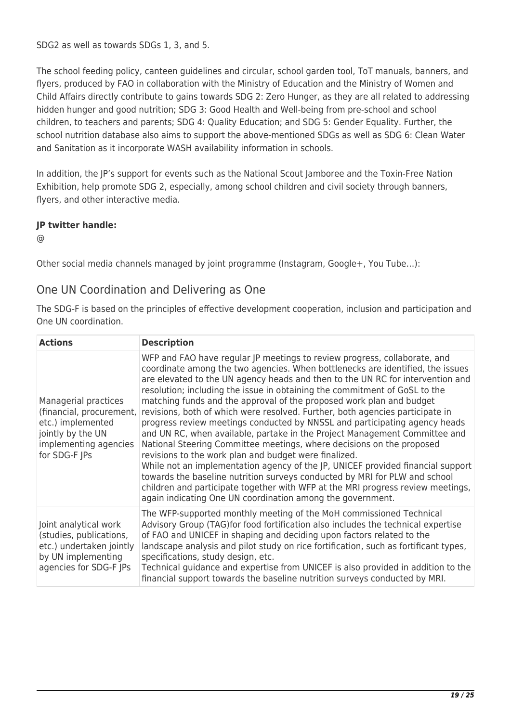SDG2 as well as towards SDGs 1, 3, and 5.

The school feeding policy, canteen guidelines and circular, school garden tool, ToT manuals, banners, and flyers, produced by FAO in collaboration with the Ministry of Education and the Ministry of Women and Child Affairs directly contribute to gains towards SDG 2: Zero Hunger, as they are all related to addressing hidden hunger and good nutrition; SDG 3: Good Health and Well-being from pre-school and school children, to teachers and parents; SDG 4: Quality Education; and SDG 5: Gender Equality. Further, the school nutrition database also aims to support the above-mentioned SDGs as well as SDG 6: Clean Water and Sanitation as it incorporate WASH availability information in schools.

In addition, the JP's support for events such as the National Scout Jamboree and the Toxin-Free Nation Exhibition, help promote SDG 2, especially, among school children and civil society through banners, flyers, and other interactive media.

#### **JP twitter handle:**

@

Other social media channels managed by joint programme (Instagram, Google+, You Tube…):

### One UN Coordination and Delivering as One

The SDG-F is based on the principles of effective development cooperation, inclusion and participation and One UN coordination.

| <b>Actions</b>                                                                                                                       | <b>Description</b>                                                                                                                                                                                                                                                                                                                                                                                                                                                                                                                                                                                                                                                                                                                                                                                                                                                                                                                                                                                                                                                                                   |
|--------------------------------------------------------------------------------------------------------------------------------------|------------------------------------------------------------------------------------------------------------------------------------------------------------------------------------------------------------------------------------------------------------------------------------------------------------------------------------------------------------------------------------------------------------------------------------------------------------------------------------------------------------------------------------------------------------------------------------------------------------------------------------------------------------------------------------------------------------------------------------------------------------------------------------------------------------------------------------------------------------------------------------------------------------------------------------------------------------------------------------------------------------------------------------------------------------------------------------------------------|
| Managerial practices<br>(financial, procurement,<br>etc.) implemented<br>jointly by the UN<br>implementing agencies<br>for SDG-F JPs | WFP and FAO have regular JP meetings to review progress, collaborate, and<br>coordinate among the two agencies. When bottlenecks are identified, the issues<br>are elevated to the UN agency heads and then to the UN RC for intervention and<br>resolution; including the issue in obtaining the commitment of GoSL to the<br>matching funds and the approval of the proposed work plan and budget<br>revisions, both of which were resolved. Further, both agencies participate in<br>progress review meetings conducted by NNSSL and participating agency heads<br>and UN RC, when available, partake in the Project Management Committee and<br>National Steering Committee meetings, where decisions on the proposed<br>revisions to the work plan and budget were finalized.<br>While not an implementation agency of the JP, UNICEF provided financial support<br>towards the baseline nutrition surveys conducted by MRI for PLW and school<br>children and participate together with WFP at the MRI progress review meetings,<br>again indicating One UN coordination among the government. |
| Joint analytical work<br>(studies, publications,<br>etc.) undertaken jointly<br>by UN implementing<br>agencies for SDG-F JPs         | The WFP-supported monthly meeting of the MoH commissioned Technical<br>Advisory Group (TAG) for food fortification also includes the technical expertise<br>of FAO and UNICEF in shaping and deciding upon factors related to the<br>landscape analysis and pilot study on rice fortification, such as fortificant types,<br>specifications, study design, etc.<br>Technical guidance and expertise from UNICEF is also provided in addition to the<br>financial support towards the baseline nutrition surveys conducted by MRI.                                                                                                                                                                                                                                                                                                                                                                                                                                                                                                                                                                    |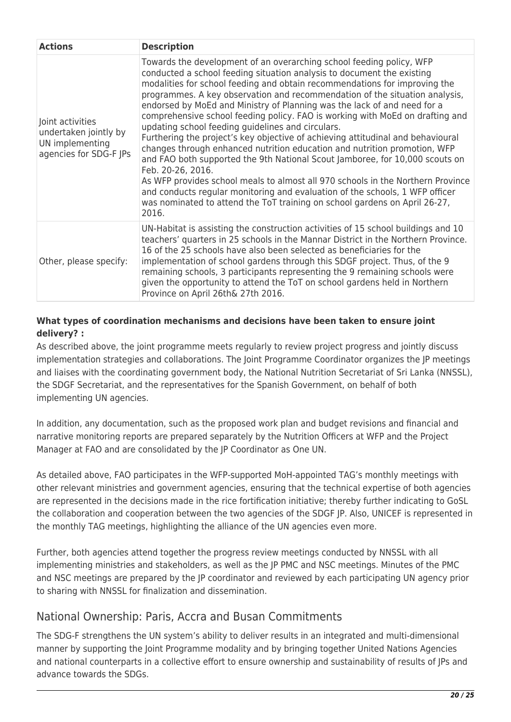| <b>Actions</b>                                                                         | <b>Description</b>                                                                                                                                                                                                                                                                                                                                                                                                                                                                                                                                                                                                                                                                                                                                                                                                                                                                                                                                                                                                                                           |
|----------------------------------------------------------------------------------------|--------------------------------------------------------------------------------------------------------------------------------------------------------------------------------------------------------------------------------------------------------------------------------------------------------------------------------------------------------------------------------------------------------------------------------------------------------------------------------------------------------------------------------------------------------------------------------------------------------------------------------------------------------------------------------------------------------------------------------------------------------------------------------------------------------------------------------------------------------------------------------------------------------------------------------------------------------------------------------------------------------------------------------------------------------------|
| Joint activities<br>undertaken jointly by<br>UN implementing<br>agencies for SDG-F JPs | Towards the development of an overarching school feeding policy, WFP<br>conducted a school feeding situation analysis to document the existing<br>modalities for school feeding and obtain recommendations for improving the<br>programmes. A key observation and recommendation of the situation analysis,<br>endorsed by MoEd and Ministry of Planning was the lack of and need for a<br>comprehensive school feeding policy. FAO is working with MoEd on drafting and<br>updating school feeding guidelines and circulars.<br>Furthering the project's key objective of achieving attitudinal and behavioural<br>changes through enhanced nutrition education and nutrition promotion, WFP<br>and FAO both supported the 9th National Scout Jamboree, for 10,000 scouts on<br>Feb. 20-26, 2016.<br>As WFP provides school meals to almost all 970 schools in the Northern Province<br>and conducts regular monitoring and evaluation of the schools, 1 WFP officer<br>was nominated to attend the ToT training on school gardens on April 26-27,<br>2016. |
| Other, please specify:                                                                 | UN-Habitat is assisting the construction activities of 15 school buildings and 10<br>teachers' quarters in 25 schools in the Mannar District in the Northern Province.<br>16 of the 25 schools have also been selected as beneficiaries for the<br>implementation of school gardens through this SDGF project. Thus, of the 9<br>remaining schools, 3 participants representing the 9 remaining schools were<br>given the opportunity to attend the ToT on school gardens held in Northern<br>Province on April 26th& 27th 2016.                                                                                                                                                                                                                                                                                                                                                                                                                                                                                                                             |

#### **What types of coordination mechanisms and decisions have been taken to ensure joint delivery? :**

As described above, the joint programme meets regularly to review project progress and jointly discuss implementation strategies and collaborations. The Joint Programme Coordinator organizes the JP meetings and liaises with the coordinating government body, the National Nutrition Secretariat of Sri Lanka (NNSSL), the SDGF Secretariat, and the representatives for the Spanish Government, on behalf of both implementing UN agencies.

In addition, any documentation, such as the proposed work plan and budget revisions and financial and narrative monitoring reports are prepared separately by the Nutrition Officers at WFP and the Project Manager at FAO and are consolidated by the JP Coordinator as One UN.

As detailed above, FAO participates in the WFP-supported MoH-appointed TAG's monthly meetings with other relevant ministries and government agencies, ensuring that the technical expertise of both agencies are represented in the decisions made in the rice fortification initiative; thereby further indicating to GoSL the collaboration and cooperation between the two agencies of the SDGF JP. Also, UNICEF is represented in the monthly TAG meetings, highlighting the alliance of the UN agencies even more.

Further, both agencies attend together the progress review meetings conducted by NNSSL with all implementing ministries and stakeholders, as well as the JP PMC and NSC meetings. Minutes of the PMC and NSC meetings are prepared by the JP coordinator and reviewed by each participating UN agency prior to sharing with NNSSL for finalization and dissemination.

## National Ownership: Paris, Accra and Busan Commitments

The SDG-F strengthens the UN system's ability to deliver results in an integrated and multi-dimensional manner by supporting the Joint Programme modality and by bringing together United Nations Agencies and national counterparts in a collective effort to ensure ownership and sustainability of results of JPs and advance towards the SDGs.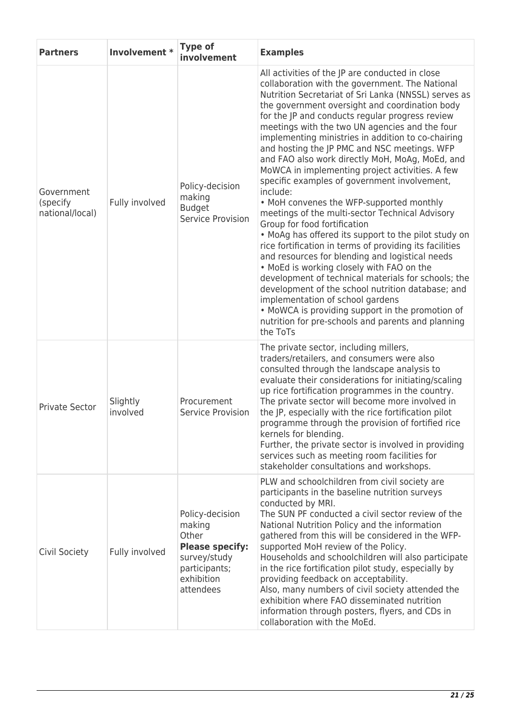| <b>Partners</b>                           | Involvement *        | <b>Type of</b><br>involvement                                                                                            | <b>Examples</b>                                                                                                                                                                                                                                                                                                                                                                                                                                                                                                                                                                                                                                                                                                                                                                                                                                                                                                                                                                                                                                                                                                                                                                                                   |
|-------------------------------------------|----------------------|--------------------------------------------------------------------------------------------------------------------------|-------------------------------------------------------------------------------------------------------------------------------------------------------------------------------------------------------------------------------------------------------------------------------------------------------------------------------------------------------------------------------------------------------------------------------------------------------------------------------------------------------------------------------------------------------------------------------------------------------------------------------------------------------------------------------------------------------------------------------------------------------------------------------------------------------------------------------------------------------------------------------------------------------------------------------------------------------------------------------------------------------------------------------------------------------------------------------------------------------------------------------------------------------------------------------------------------------------------|
| Government<br>(specify<br>national/local) | Fully involved       | Policy-decision<br>making<br><b>Budget</b><br>Service Provision                                                          | All activities of the JP are conducted in close<br>collaboration with the government. The National<br>Nutrition Secretariat of Sri Lanka (NNSSL) serves as<br>the government oversight and coordination body<br>for the JP and conducts regular progress review<br>meetings with the two UN agencies and the four<br>implementing ministries in addition to co-chairing<br>and hosting the JP PMC and NSC meetings. WFP<br>and FAO also work directly MoH, MoAg, MoEd, and<br>MoWCA in implementing project activities. A few<br>specific examples of government involvement,<br>include:<br>• MoH convenes the WFP-supported monthly<br>meetings of the multi-sector Technical Advisory<br>Group for food fortification<br>• MoAg has offered its support to the pilot study on<br>rice fortification in terms of providing its facilities<br>and resources for blending and logistical needs<br>. MoEd is working closely with FAO on the<br>development of technical materials for schools; the<br>development of the school nutrition database; and<br>implementation of school gardens<br>• MoWCA is providing support in the promotion of<br>nutrition for pre-schools and parents and planning<br>the ToTs |
| <b>Private Sector</b>                     | Slightly<br>involved | Procurement<br>Service Provision                                                                                         | The private sector, including millers,<br>traders/retailers, and consumers were also<br>consulted through the landscape analysis to<br>evaluate their considerations for initiating/scaling<br>up rice fortification programmes in the country.<br>The private sector will become more involved in<br>the JP, especially with the rice fortification pilot<br>programme through the provision of fortified rice<br>kernels for blending.<br>Further, the private sector is involved in providing<br>services such as meeting room facilities for<br>stakeholder consultations and workshops.                                                                                                                                                                                                                                                                                                                                                                                                                                                                                                                                                                                                                      |
| Civil Society                             | Fully involved       | Policy-decision<br>making<br>Other<br><b>Please specify:</b><br>survey/study<br>participants;<br>exhibition<br>attendees | PLW and schoolchildren from civil society are<br>participants in the baseline nutrition surveys<br>conducted by MRI.<br>The SUN PF conducted a civil sector review of the<br>National Nutrition Policy and the information<br>gathered from this will be considered in the WFP-<br>supported MoH review of the Policy.<br>Households and schoolchildren will also participate<br>in the rice fortification pilot study, especially by<br>providing feedback on acceptability.<br>Also, many numbers of civil society attended the<br>exhibition where FAO disseminated nutrition<br>information through posters, flyers, and CDs in<br>collaboration with the MoEd.                                                                                                                                                                                                                                                                                                                                                                                                                                                                                                                                               |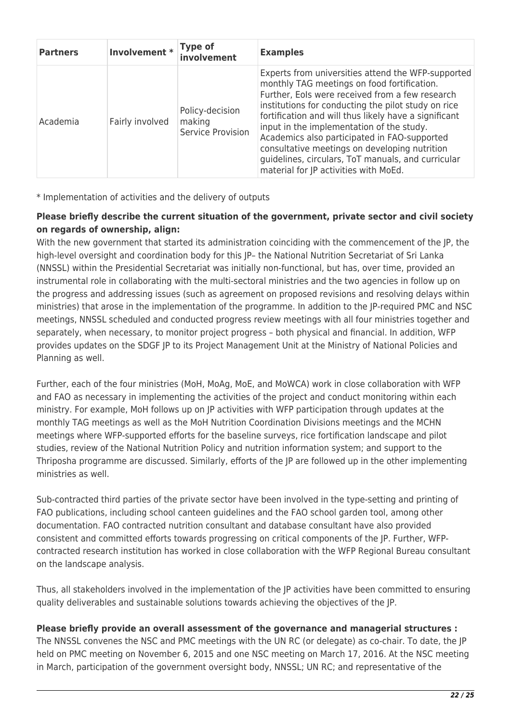| <b>Partners</b> | Involvement * Type of | involvement                                    | <b>Examples</b>                                                                                                                                                                                                                                                                                                                                                                                                                                                                                                   |
|-----------------|-----------------------|------------------------------------------------|-------------------------------------------------------------------------------------------------------------------------------------------------------------------------------------------------------------------------------------------------------------------------------------------------------------------------------------------------------------------------------------------------------------------------------------------------------------------------------------------------------------------|
| Academia        | Fairly involved       | Policy-decision<br>making<br>Service Provision | Experts from universities attend the WFP-supported<br>monthly TAG meetings on food fortification.<br>Further, Eols were received from a few research<br>institutions for conducting the pilot study on rice<br>fortification and will thus likely have a significant<br>input in the implementation of the study.<br>Academics also participated in FAO-supported<br>consultative meetings on developing nutrition<br>guidelines, circulars, ToT manuals, and curricular<br>material for JP activities with MoEd. |

\* Implementation of activities and the delivery of outputs

#### **Please briefly describe the current situation of the government, private sector and civil society on regards of ownership, align:**

With the new government that started its administration coinciding with the commencement of the JP, the high-level oversight and coordination body for this IP- the National Nutrition Secretariat of Sri Lanka (NNSSL) within the Presidential Secretariat was initially non-functional, but has, over time, provided an instrumental role in collaborating with the multi-sectoral ministries and the two agencies in follow up on the progress and addressing issues (such as agreement on proposed revisions and resolving delays within ministries) that arose in the implementation of the programme. In addition to the JP-required PMC and NSC meetings, NNSSL scheduled and conducted progress review meetings with all four ministries together and separately, when necessary, to monitor project progress – both physical and financial. In addition, WFP provides updates on the SDGF JP to its Project Management Unit at the Ministry of National Policies and Planning as well.

Further, each of the four ministries (MoH, MoAg, MoE, and MoWCA) work in close collaboration with WFP and FAO as necessary in implementing the activities of the project and conduct monitoring within each ministry. For example, MoH follows up on JP activities with WFP participation through updates at the monthly TAG meetings as well as the MoH Nutrition Coordination Divisions meetings and the MCHN meetings where WFP-supported efforts for the baseline surveys, rice fortification landscape and pilot studies, review of the National Nutrition Policy and nutrition information system; and support to the Thriposha programme are discussed. Similarly, efforts of the JP are followed up in the other implementing ministries as well.

Sub-contracted third parties of the private sector have been involved in the type-setting and printing of FAO publications, including school canteen guidelines and the FAO school garden tool, among other documentation. FAO contracted nutrition consultant and database consultant have also provided consistent and committed efforts towards progressing on critical components of the JP. Further, WFPcontracted research institution has worked in close collaboration with the WFP Regional Bureau consultant on the landscape analysis.

Thus, all stakeholders involved in the implementation of the JP activities have been committed to ensuring quality deliverables and sustainable solutions towards achieving the objectives of the JP.

#### **Please briefly provide an overall assessment of the governance and managerial structures :**

The NNSSL convenes the NSC and PMC meetings with the UN RC (or delegate) as co-chair. To date, the JP held on PMC meeting on November 6, 2015 and one NSC meeting on March 17, 2016. At the NSC meeting in March, participation of the government oversight body, NNSSL; UN RC; and representative of the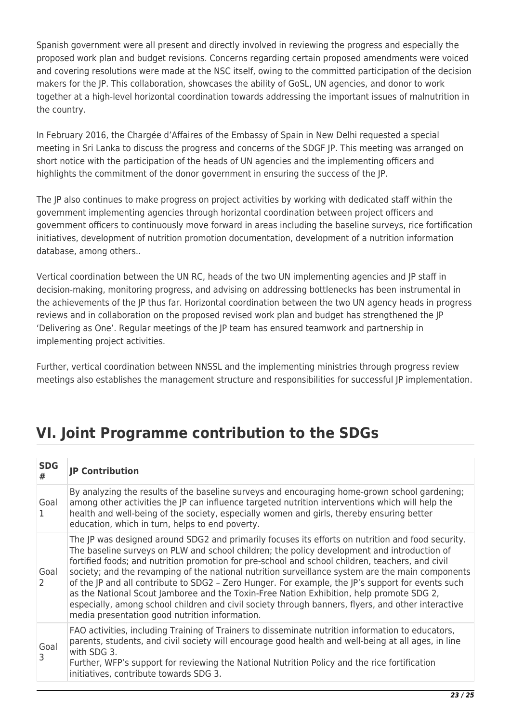Spanish government were all present and directly involved in reviewing the progress and especially the proposed work plan and budget revisions. Concerns regarding certain proposed amendments were voiced and covering resolutions were made at the NSC itself, owing to the committed participation of the decision makers for the JP. This collaboration, showcases the ability of GoSL, UN agencies, and donor to work together at a high-level horizontal coordination towards addressing the important issues of malnutrition in the country.

In February 2016, the Chargée d'Affaires of the Embassy of Spain in New Delhi requested a special meeting in Sri Lanka to discuss the progress and concerns of the SDGF JP. This meeting was arranged on short notice with the participation of the heads of UN agencies and the implementing officers and highlights the commitment of the donor government in ensuring the success of the JP.

The JP also continues to make progress on project activities by working with dedicated staff within the government implementing agencies through horizontal coordination between project officers and government officers to continuously move forward in areas including the baseline surveys, rice fortification initiatives, development of nutrition promotion documentation, development of a nutrition information database, among others..

Vertical coordination between the UN RC, heads of the two UN implementing agencies and JP staff in decision-making, monitoring progress, and advising on addressing bottlenecks has been instrumental in the achievements of the JP thus far. Horizontal coordination between the two UN agency heads in progress reviews and in collaboration on the proposed revised work plan and budget has strengthened the JP 'Delivering as One'. Regular meetings of the JP team has ensured teamwork and partnership in implementing project activities.

Further, vertical coordination between NNSSL and the implementing ministries through progress review meetings also establishes the management structure and responsibilities for successful JP implementation.

# **VI. Joint Programme contribution to the SDGs**

| <b>SDG</b><br># | <b>JP Contribution</b>                                                                                                                                                                                                                                                                                                                                                                                                                                                                                                                                                                                                                                                                                                                                            |
|-----------------|-------------------------------------------------------------------------------------------------------------------------------------------------------------------------------------------------------------------------------------------------------------------------------------------------------------------------------------------------------------------------------------------------------------------------------------------------------------------------------------------------------------------------------------------------------------------------------------------------------------------------------------------------------------------------------------------------------------------------------------------------------------------|
| Goal<br>1       | By analyzing the results of the baseline surveys and encouraging home-grown school gardening;<br>among other activities the JP can influence targeted nutrition interventions which will help the<br>health and well-being of the society, especially women and girls, thereby ensuring better<br>education, which in turn, helps to end poverty.                                                                                                                                                                                                                                                                                                                                                                                                                 |
| Goal<br>2       | The JP was designed around SDG2 and primarily focuses its efforts on nutrition and food security.<br>The baseline surveys on PLW and school children; the policy development and introduction of<br>fortified foods; and nutrition promotion for pre-school and school children, teachers, and civil<br>society; and the revamping of the national nutrition surveillance system are the main components<br>of the JP and all contribute to SDG2 - Zero Hunger. For example, the JP's support for events such<br>as the National Scout Jamboree and the Toxin-Free Nation Exhibition, help promote SDG 2,<br>especially, among school children and civil society through banners, flyers, and other interactive<br>media presentation good nutrition information. |
| Goal<br>3       | FAO activities, including Training of Trainers to disseminate nutrition information to educators,<br>parents, students, and civil society will encourage good health and well-being at all ages, in line<br>with SDG 3.<br>Further, WFP's support for reviewing the National Nutrition Policy and the rice fortification<br>initiatives, contribute towards SDG 3.                                                                                                                                                                                                                                                                                                                                                                                                |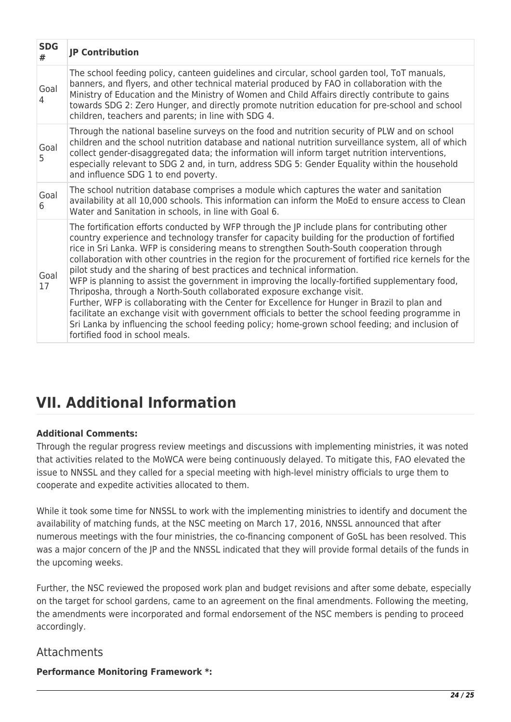| <b>SDG</b><br>#        | <b>JP Contribution</b>                                                                                                                                                                                                                                                                                                                                                                                                                                                                                                                                                                                                                                                                                                                                                                                                                                                                                                                                                                                        |
|------------------------|---------------------------------------------------------------------------------------------------------------------------------------------------------------------------------------------------------------------------------------------------------------------------------------------------------------------------------------------------------------------------------------------------------------------------------------------------------------------------------------------------------------------------------------------------------------------------------------------------------------------------------------------------------------------------------------------------------------------------------------------------------------------------------------------------------------------------------------------------------------------------------------------------------------------------------------------------------------------------------------------------------------|
| Goal<br>$\overline{4}$ | The school feeding policy, canteen guidelines and circular, school garden tool, ToT manuals,<br>banners, and flyers, and other technical material produced by FAO in collaboration with the<br>Ministry of Education and the Ministry of Women and Child Affairs directly contribute to gains<br>towards SDG 2: Zero Hunger, and directly promote nutrition education for pre-school and school<br>children, teachers and parents; in line with SDG 4.                                                                                                                                                                                                                                                                                                                                                                                                                                                                                                                                                        |
| Goal<br>5              | Through the national baseline surveys on the food and nutrition security of PLW and on school<br>children and the school nutrition database and national nutrition surveillance system, all of which<br>collect gender-disaggregated data; the information will inform target nutrition interventions,<br>especially relevant to SDG 2 and, in turn, address SDG 5: Gender Equality within the household<br>and influence SDG 1 to end poverty.                                                                                                                                                                                                                                                                                                                                                                                                                                                                                                                                                               |
| Goal<br>6              | The school nutrition database comprises a module which captures the water and sanitation<br>availability at all 10,000 schools. This information can inform the MoEd to ensure access to Clean<br>Water and Sanitation in schools, in line with Goal 6.                                                                                                                                                                                                                                                                                                                                                                                                                                                                                                                                                                                                                                                                                                                                                       |
| Goal<br>17             | The fortification efforts conducted by WFP through the JP include plans for contributing other<br>country experience and technology transfer for capacity building for the production of fortified<br>rice in Sri Lanka. WFP is considering means to strengthen South-South cooperation through<br>collaboration with other countries in the region for the procurement of fortified rice kernels for the<br>pilot study and the sharing of best practices and technical information.<br>WFP is planning to assist the government in improving the locally-fortified supplementary food,<br>Thriposha, through a North-South collaborated exposure exchange visit.<br>Further, WFP is collaborating with the Center for Excellence for Hunger in Brazil to plan and<br>facilitate an exchange visit with government officials to better the school feeding programme in<br>Sri Lanka by influencing the school feeding policy; home-grown school feeding; and inclusion of<br>fortified food in school meals. |

# **VII. Additional Information**

#### **Additional Comments:**

Through the regular progress review meetings and discussions with implementing ministries, it was noted that activities related to the MoWCA were being continuously delayed. To mitigate this, FAO elevated the issue to NNSSL and they called for a special meeting with high-level ministry officials to urge them to cooperate and expedite activities allocated to them.

While it took some time for NNSSL to work with the implementing ministries to identify and document the availability of matching funds, at the NSC meeting on March 17, 2016, NNSSL announced that after numerous meetings with the four ministries, the co-financing component of GoSL has been resolved. This was a major concern of the JP and the NNSSL indicated that they will provide formal details of the funds in the upcoming weeks.

Further, the NSC reviewed the proposed work plan and budget revisions and after some debate, especially on the target for school gardens, came to an agreement on the final amendments. Following the meeting, the amendments were incorporated and formal endorsement of the NSC members is pending to proceed accordingly.

### Attachments

**Performance Monitoring Framework \*:**